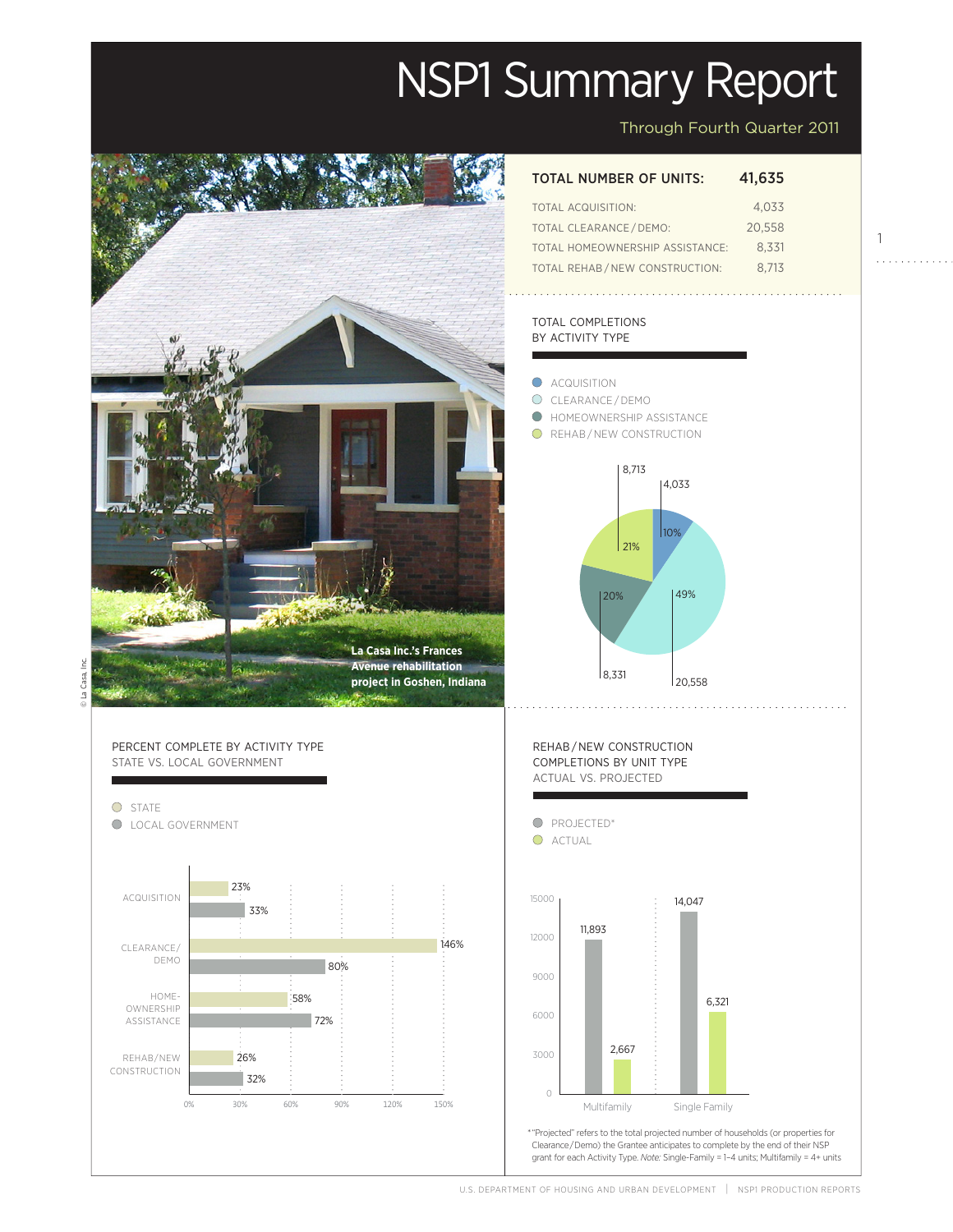# NSP1 Summary Report



# Through Fourth Quarter 2011

#### TOTAL NUMBER OF UNITS: 41,635

| TOTAL ACQUISITION:              | 4.033  |
|---------------------------------|--------|
| TOTAL CLEARANCE / DEMO:         | 20.558 |
| TOTAL HOMEOWNERSHIP ASSISTANCE: | 8.331  |
| TOTAL REHAB/NEW CONSTRUCTION:   | 8.713  |

#### TOTAL COMPLETIONS BY ACTIVITY TYPE

ACQUISITION

∩



. . . . . . . . . . . .

Actual

Projected

Projected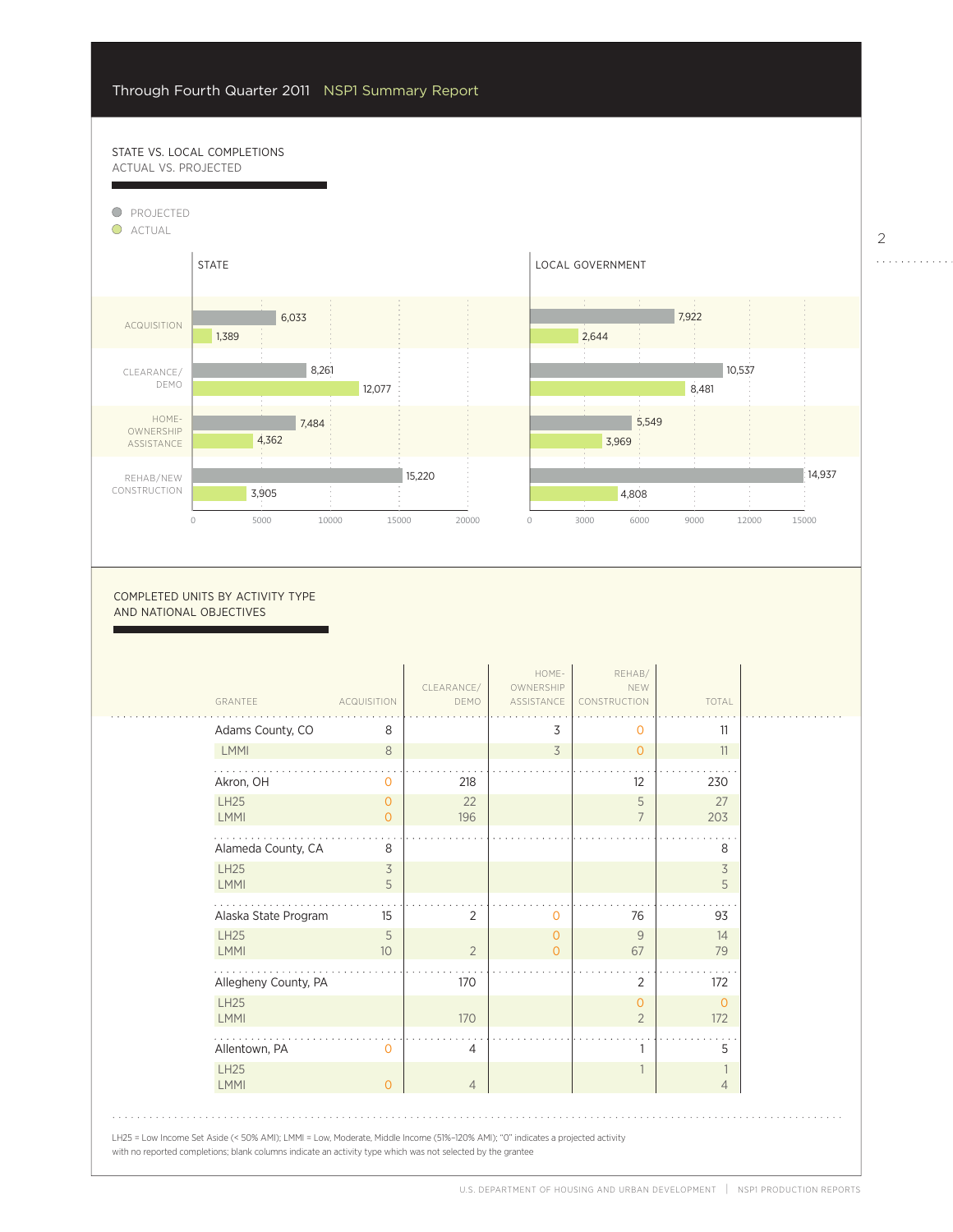58%

#### STATE VS. LOCAL COMPLETIONS ACTUAL VS. PROJECTED



#### COMPLETED UNITS BY ACTIVITY TYPE AND NATIONAL OBJECTIVES

| GRANTEE                    | <b>ACQUISITION</b>   | CLEARANCE/<br>DEMO | HOME-<br>OWNERSHIP<br>ASSISTANCE | REHAB/<br>NEW<br>CONSTRUCTION    | TOTAL                          |
|----------------------------|----------------------|--------------------|----------------------------------|----------------------------------|--------------------------------|
| Adams County, CO           | 8                    |                    | 3                                | 0                                | 11                             |
| LMMI                       | 8                    |                    | 3                                | $\Omega$                         | 11                             |
| Akron, OH                  | 0                    | 218                |                                  | 12                               | 230                            |
| <b>LH25</b><br>LMMI        | $\circ$<br>$\Omega$  | 22<br>196          |                                  | 5<br>$\overline{7}$              | 27<br>203                      |
| Alameda County, CA         | 8                    |                    |                                  |                                  | 8                              |
| <b>LH25</b><br><b>LMMI</b> | 3<br>5               |                    |                                  |                                  | 3<br>5                         |
| Alaska State Program       | 15                   | 2                  | 0                                | 76                               | 93                             |
| <b>LH25</b><br><b>LMMI</b> | 5<br>10 <sup>°</sup> | $\overline{2}$     | $\circ$<br>$\Omega$              | 9<br>67                          | 14<br>79                       |
| Allegheny County, PA       |                      | 170                |                                  | 2                                | 172                            |
| <b>LH25</b><br><b>LMMI</b> |                      | 170                |                                  | $\overline{0}$<br>$\overline{2}$ | $\mathbf{O}$<br>172            |
| Allentown, PA              | $\Omega$             | 4                  |                                  | 1                                | 5                              |
| <b>LH25</b><br><b>LMMI</b> | $\circ$              | $\overline{4}$     |                                  |                                  | $\mathbf{1}$<br>$\overline{4}$ |

. . . . . . . . .

6,321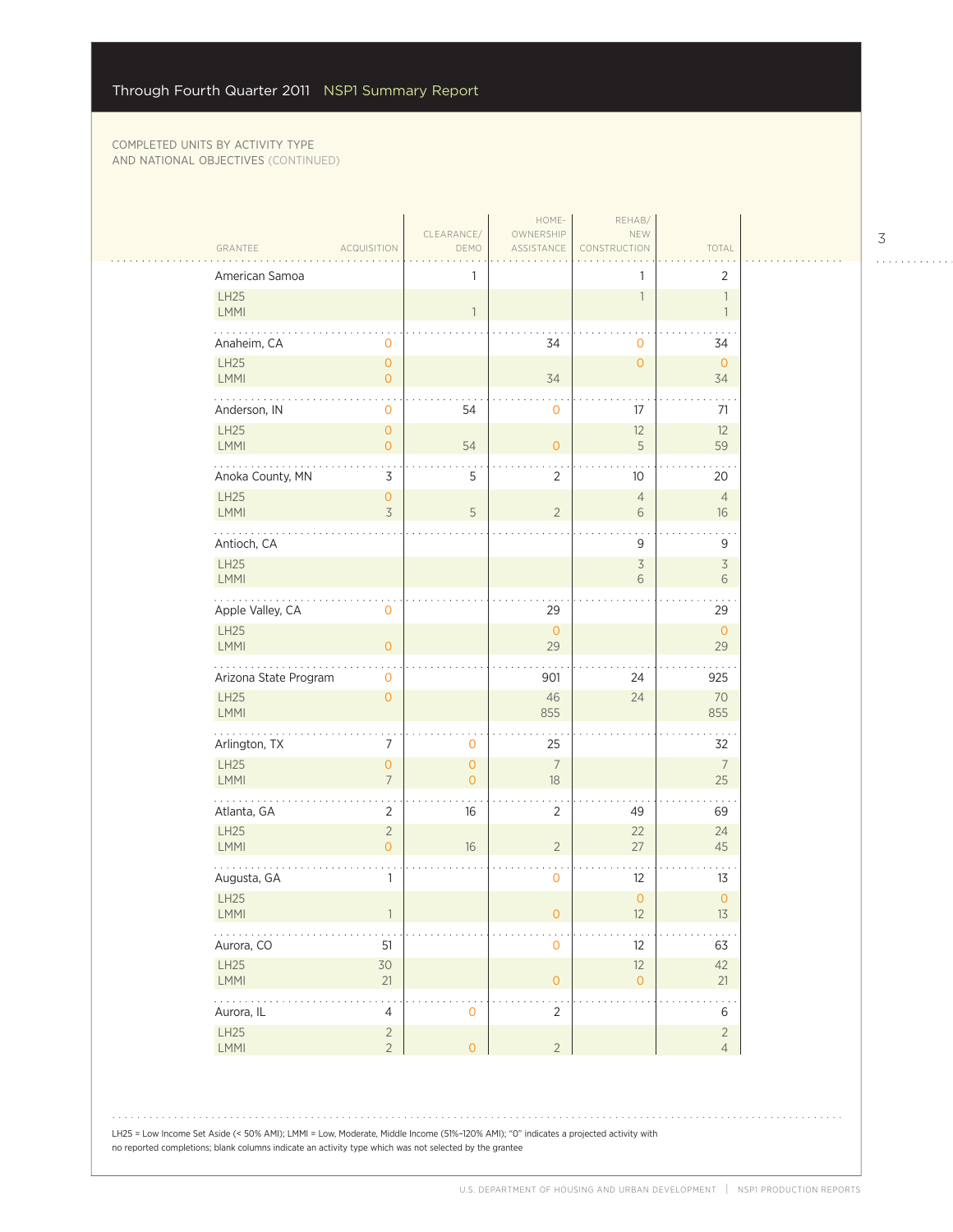$\sim$  .

 $\sim$  .

| American Samoa                                                                                                                                                                                                                                                                                                                                           |                                       | 1                                |                          | 1                             | $\overline{2}$                 |
|----------------------------------------------------------------------------------------------------------------------------------------------------------------------------------------------------------------------------------------------------------------------------------------------------------------------------------------------------------|---------------------------------------|----------------------------------|--------------------------|-------------------------------|--------------------------------|
| LH25<br>LMMI                                                                                                                                                                                                                                                                                                                                             |                                       | $\mathbf{1}$                     |                          | 1                             | $\overline{1}$<br>$\mathbf{1}$ |
| Anaheim, CA                                                                                                                                                                                                                                                                                                                                              | 0                                     |                                  | 34                       | $\mathbf 0$                   | 34                             |
| LH25<br>LMMI                                                                                                                                                                                                                                                                                                                                             | $\mathsf{O}\xspace$<br>$\overline{O}$ |                                  | 34                       | $\overline{O}$                | $\overline{0}$<br>34           |
| .<br>Anderson, IN                                                                                                                                                                                                                                                                                                                                        | $\mathbf 0$                           | 54                               | $\overline{0}$           | 17                            | 71                             |
| <b>LH25</b><br>LMMI                                                                                                                                                                                                                                                                                                                                      | $\overline{O}$<br>$\overline{0}$      | 54                               | $\mathsf{O}\xspace$      | 12<br>5                       | 12<br>59                       |
| Anoka County, MN                                                                                                                                                                                                                                                                                                                                         | 3                                     | 5                                | 2                        | 10                            | 20                             |
| LH25<br>LMMI                                                                                                                                                                                                                                                                                                                                             | $\overline{0}$<br>3                   | 5                                | $\overline{c}$           | $\overline{4}$<br>6           | $\overline{4}$<br>16           |
| Antioch, CA                                                                                                                                                                                                                                                                                                                                              |                                       |                                  |                          | 9                             | 9                              |
| LH25<br>LMMI                                                                                                                                                                                                                                                                                                                                             |                                       |                                  |                          | $\overline{\mathcal{S}}$<br>6 | $\overline{3}$<br>6            |
| $\frac{1}{2} \left( \begin{array}{ccc} 1 & 0 & 0 & 0 \\ 0 & 0 & 0 & 0 \\ 0 & 0 & 0 & 0 \\ 0 & 0 & 0 & 0 \\ 0 & 0 & 0 & 0 \\ 0 & 0 & 0 & 0 \\ 0 & 0 & 0 & 0 \\ 0 & 0 & 0 & 0 \\ 0 & 0 & 0 & 0 \\ 0 & 0 & 0 & 0 \\ 0 & 0 & 0 & 0 & 0 \\ 0 & 0 & 0 & 0 & 0 \\ 0 & 0 & 0 & 0 & 0 \\ 0 & 0 & 0 & 0 & 0 \\ 0 & 0 & 0 & 0 & 0 \\ 0 & 0 & 0$<br>Apple Valley, CA | 0                                     |                                  | 29                       |                               | 29                             |
| LH25<br><b>LMMI</b>                                                                                                                                                                                                                                                                                                                                      | $\overline{O}$                        |                                  | $\mathsf{O}$<br>29       |                               | $\overline{0}$<br>29           |
| Arizona State Program                                                                                                                                                                                                                                                                                                                                    | $\mathbf{O}$                          |                                  | 901                      | 24                            | 925                            |
| LH25<br><b>LMMI</b>                                                                                                                                                                                                                                                                                                                                      | $\mathbf{O}$                          |                                  | 46<br>855                | 24                            | 70<br>855                      |
| .<br>Arlington, TX                                                                                                                                                                                                                                                                                                                                       | 7                                     | 0                                | 25                       |                               | 32                             |
| LH25<br><b>LMMI</b>                                                                                                                                                                                                                                                                                                                                      | $\mathsf{O}\xspace$<br>$\overline{7}$ | $\overline{O}$<br>$\overline{O}$ | $\overline{7}$<br>$18\,$ |                               | $\overline{7}$<br>25           |
| Atlanta, GA                                                                                                                                                                                                                                                                                                                                              | $\overline{2}$                        | 16                               | $\overline{2}$           | 49                            | 69                             |
| <b>LH25</b><br>LMMI                                                                                                                                                                                                                                                                                                                                      | $\overline{c}$<br>$\overline{O}$      | 16                               | $\overline{2}$           | 22<br>27                      | 24<br>45                       |
| Augusta, GA                                                                                                                                                                                                                                                                                                                                              | 1                                     |                                  | $\mathsf{O}\xspace$      | 12                            | 13                             |
| LH25<br><b>LMMI</b>                                                                                                                                                                                                                                                                                                                                      |                                       |                                  | $\circ$                  | $\circ$<br>12                 | $\mathsf{O}\xspace$<br>13      |
| Aurora, CO<br>LH25                                                                                                                                                                                                                                                                                                                                       | 51                                    |                                  | $\mathsf{O}$             | 12                            | 63<br>42                       |
| LMMI                                                                                                                                                                                                                                                                                                                                                     | 30<br>21                              |                                  | $\mathsf{O}\xspace$      | 12<br>$\circ$                 | 21                             |
| $\varphi$ is a set of<br>Aurora, IL<br>LH25                                                                                                                                                                                                                                                                                                              | $\overline{4}$<br>$\overline{2}$      | $\mathbf 0$                      | . .<br>$\sqrt{2}$        |                               | 6<br>$\overline{2}$            |
| LMMI                                                                                                                                                                                                                                                                                                                                                     | $\overline{2}$                        | $\overline{O}$                   | $\overline{2}$           |                               | $\overline{4}$                 |

LH25 = Low Income Set Aside (< 50% AMI); LMMI = Low, Moderate, Middle Income (51%–120% AMI); "0" indicates a projected activity with no reported completions; blank columns indicate an activity type which was not selected by the grantee

3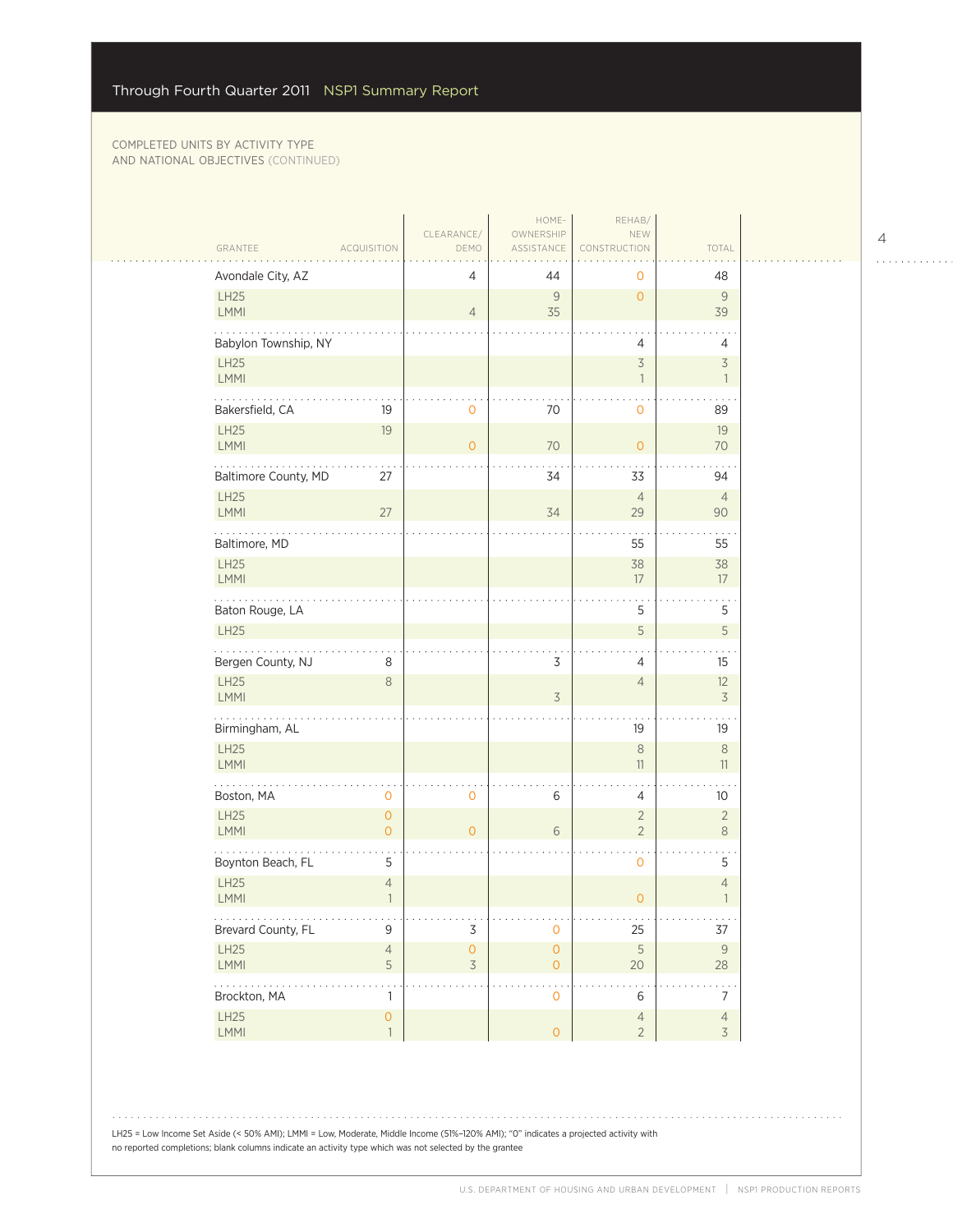| GRANTEE                        | <b>ACQUISITION</b>             | CLEARANCE/<br>DEMO       | OWNERSHIP<br>ASSISTANCE               | NEW<br>CONSTRUCTION                                  | TOTAL                                      |
|--------------------------------|--------------------------------|--------------------------|---------------------------------------|------------------------------------------------------|--------------------------------------------|
| Avondale City, AZ              |                                | 4                        | 44                                    | 0                                                    | 48                                         |
| LH25<br>LMMI                   |                                | $\overline{4}$           | $\mathcal G$<br>35                    | $\circ$                                              | 9<br>39                                    |
| Babylon Township, NY           |                                |                          |                                       | 4                                                    | 4                                          |
| LH25<br>LMMI                   |                                |                          |                                       | $\overline{\mathcal{S}}$<br>$\overline{\phantom{a}}$ | $\overline{\mathcal{S}}$<br>$\overline{1}$ |
| .<br>Bakersfield, CA           | 19                             | $\mathbf 0$              | 70                                    | $\mathbf{O}$                                         | 89                                         |
| LH25<br>LMMI                   | 19                             | $\overline{O}$           | 70                                    | $\mathbf{O}$                                         | 19<br>70                                   |
| Baltimore County, MD           | 27                             |                          | 34                                    | 33                                                   | 94                                         |
| LH25<br>LMMI                   | 27                             |                          | 34                                    | $\overline{4}$<br>29                                 | $\overline{4}$<br>90                       |
| Baltimore, MD                  |                                |                          |                                       | 55                                                   | 55                                         |
| LH25<br>LMMI                   |                                |                          |                                       | 38<br>17                                             | 38<br>17                                   |
| Baton Rouge, LA<br><b>LH25</b> |                                |                          |                                       | 5<br>5                                               | $\bullet$<br>5<br>$\mathsf S$              |
|                                |                                |                          |                                       |                                                      |                                            |
| Bergen County, NJ<br>LH25      | 8<br>$\,8\,$                   |                          | 3                                     | 4<br>$\overline{4}$                                  | 15<br>12                                   |
| LMMI                           |                                |                          | $\overline{3}$                        |                                                      | $\overline{\mathcal{S}}$                   |
| Birmingham, AL                 |                                |                          |                                       | 19                                                   | 19                                         |
| LH25<br>LMMI                   |                                |                          |                                       | $\,8\,$<br>$11\,$                                    | $\,8\,$<br>$11\,$                          |
| Boston, MA                     | $\mathbf 0$                    | 0                        | 6                                     | $\overline{4}$                                       | 10 <sup>°</sup>                            |
| LH25<br><b>LMMI</b>            | $\overline{O}$<br>$\mathbf{O}$ | $\overline{O}$           | 6                                     | $\overline{2}$<br>$\overline{2}$                     | $\overline{2}$<br>$\,8\,$                  |
| Boynton Beach, FL              | 5                              |                          |                                       | $\mathbf 0$                                          | 5                                          |
| LH25<br>LMMI                   | $\overline{4}$<br>$\mathbf{1}$ |                          |                                       | $\circ$                                              | $\overline{4}$<br>$\mathbf{1}$             |
| .<br>Brevard County, FL        | 9                              | $\mathsf 3$              | $\mathsf{O}\xspace$                   | 25                                                   | $\sim$ $\sim$ $\sim$<br>37                 |
| LH25<br>LMMI                   | $\overline{4}$<br>5            | $\mathsf{O}\xspace$<br>3 | $\mathsf{O}\xspace$<br>$\overline{O}$ | $\mathsf S$<br>20                                    | $\mathcal{G}$<br>28                        |
| .<br>Brockton, MA              | 1                              |                          | 0                                     | 6                                                    | $\sim$ $\sim$<br>$\overline{7}$            |
| LH25<br>LMMI                   | $\overline{O}$<br>$\mathbf{1}$ |                          | $\circ$                               | $\overline{4}$<br>$\overline{2}$                     | $\overline{4}$<br>$\overline{3}$           |

LH25 = Low Income Set Aside (< 50% AMI); LMMI = Low, Moderate, Middle Income (51%–120% AMI); "0" indicates a projected activity with no reported completions; blank columns indicate an activity type which was not selected by the grantee

4

 $\begin{array}{cccccccccccccc} . & . & . & . & . & . & . & . & . & . & . & . & . \end{array}$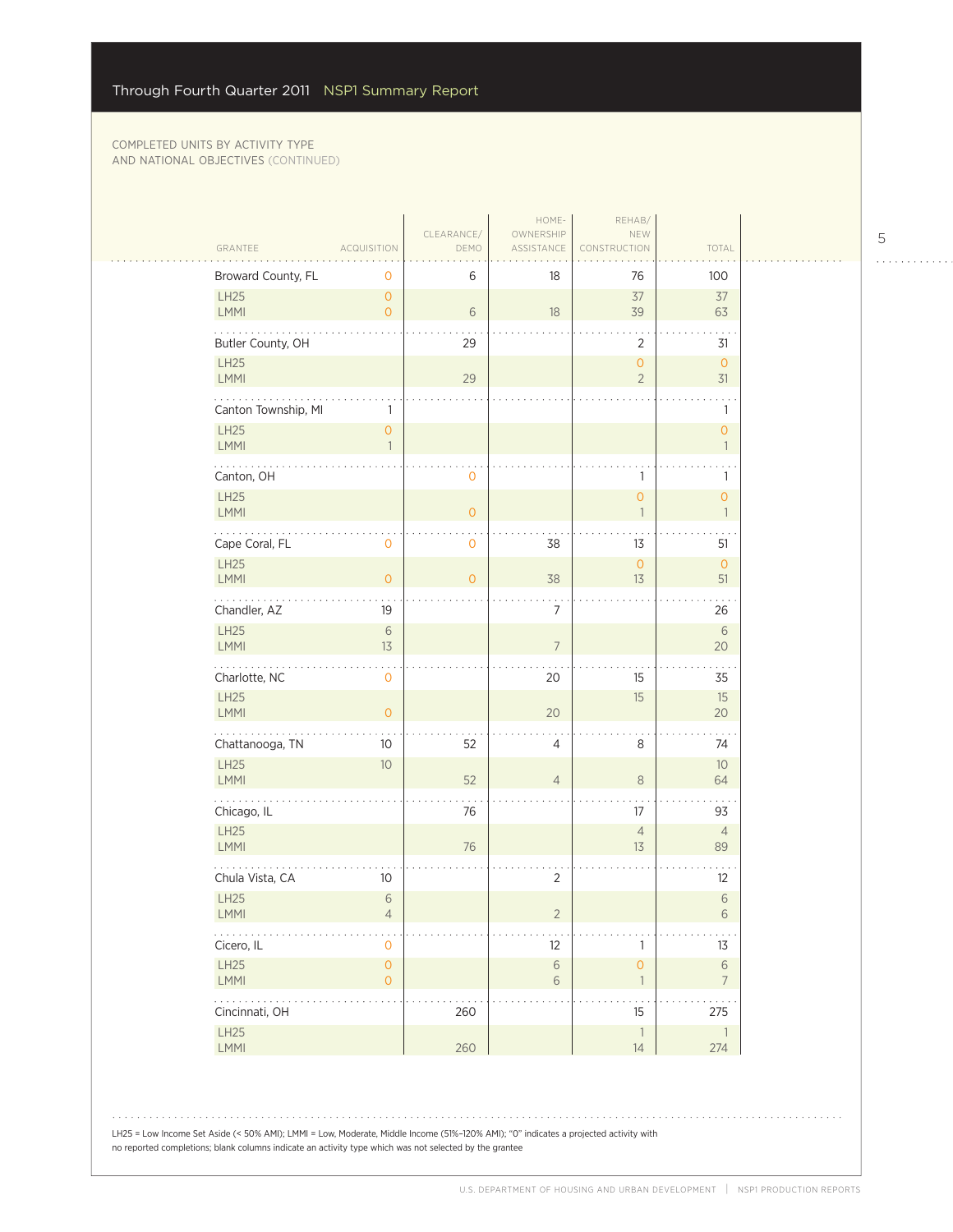|                                     |                                       | CLEARANCE/     | HOME-<br>OWNERSHIP       | REHAB/<br>NEW                                   |                                     |  |
|-------------------------------------|---------------------------------------|----------------|--------------------------|-------------------------------------------------|-------------------------------------|--|
| GRANTEE                             | <b>ACQUISITION</b>                    | DEMO           | ASSISTANCE               | NSTRUCTION                                      | TOTAL                               |  |
| Broward County, FL                  | 0                                     | 6              | 18                       | 76                                              | 100                                 |  |
| LH25<br>LMMI                        | $\overline{0}$<br>$\overline{0}$      | 6              | 18                       | 37<br>39                                        | 37<br>63                            |  |
| Butler County, OH                   |                                       | 29             |                          | $\overline{2}$                                  | 31                                  |  |
| LH25<br>LMMI                        |                                       | 29             |                          | $\mathsf{O}\xspace$<br>$\overline{2}$           | $\mathsf O$<br>31                   |  |
| Canton Township, MI<br>LH25<br>LMMI | 1<br>$\overline{0}$<br>$\mathbf{1}$   |                |                          |                                                 | 1<br>$\overline{0}$<br>$\mathbf{1}$ |  |
| Canton, OH                          |                                       | 0              |                          | 1                                               | 1                                   |  |
| LH25<br>LMMI                        |                                       | $\overline{O}$ |                          | $\mathsf{O}\xspace$<br>$\overline{\phantom{a}}$ | $\circ$<br>$\mathbf{1}$             |  |
| Cape Coral, FL                      | 0                                     | 0              | 38                       | 13                                              | 51                                  |  |
| LH25<br><b>LMMI</b>                 | $\overline{0}$                        | $\overline{0}$ | 38                       | $\mathsf{O}\xspace$<br>13                       | $\mathsf O$<br>51                   |  |
| .<br>Chandler, AZ                   | 19                                    |                | $\overline{7}$           |                                                 | 26                                  |  |
| LH25<br><b>LMMI</b>                 | $\sqrt{6}$<br>13                      |                | $\overline{7}$           |                                                 | $\,$ $\,$ $\,$<br>20                |  |
| Charlotte, NC                       | 0                                     |                | 20                       | 15                                              | 35                                  |  |
| LH25<br>LMMI                        | $\overline{0}$                        |                | 20                       | 15                                              | 15<br>$20\,$                        |  |
| .<br>Chattanooga, TN                | 10                                    | 52             | 4                        | 8                                               | 74                                  |  |
| LH25<br>LMMI                        | 10                                    | 52             | $\overline{4}$           | $\,8\,$                                         | 10<br>64                            |  |
| Chicago, IL                         |                                       | 76             |                          | 17                                              | 93                                  |  |
| LH25<br><b>LMMI</b>                 |                                       | 76             |                          | $\overline{4}$<br>13                            | $\overline{4}$<br>89                |  |
| Chula Vista, CA                     | 10                                    |                | $\overline{2}$           |                                                 | 12                                  |  |
| LH25<br>LMMI                        | $\sqrt{6}$<br>$\overline{4}$          |                | $\overline{2}$           |                                                 | $\,$ $\,$ $\,$<br>$6\,$             |  |
| .<br>Cicero, IL                     | $\mathsf{O}\xspace$                   |                | 12                       | $\mathbb{1}$                                    | $13$                                |  |
| LH25<br>LMMI                        | $\mathsf{O}\xspace$<br>$\overline{0}$ |                | $\sqrt{6}$<br>$\sqrt{6}$ | $\mathsf{O}\xspace$<br>$\overline{\phantom{a}}$ | $\,$ $\,$ $\,$<br>$\overline{7}$    |  |
| <b>.</b><br>Cincinnati, OH          |                                       | 260            |                          | $\cdot$ $\cdot$<br>15                           | 275                                 |  |
| LH25<br>LMMI                        |                                       | 260            |                          | $\ensuremath{\mathsf{1}}$<br>$14$               | $\overline{1}$<br>274               |  |

LH25 = Low Income Set Aside (< 50% AMI); LMMI = Low, Moderate, Middle Income (51%–120% AMI); "0" indicates a projected activity with no reported completions; blank columns indicate an activity type which was not selected by the grantee

5

 $\begin{array}{cccccccccccccc} . & . & . & . & . & . & . & . & . & . & . & . & . \end{array}$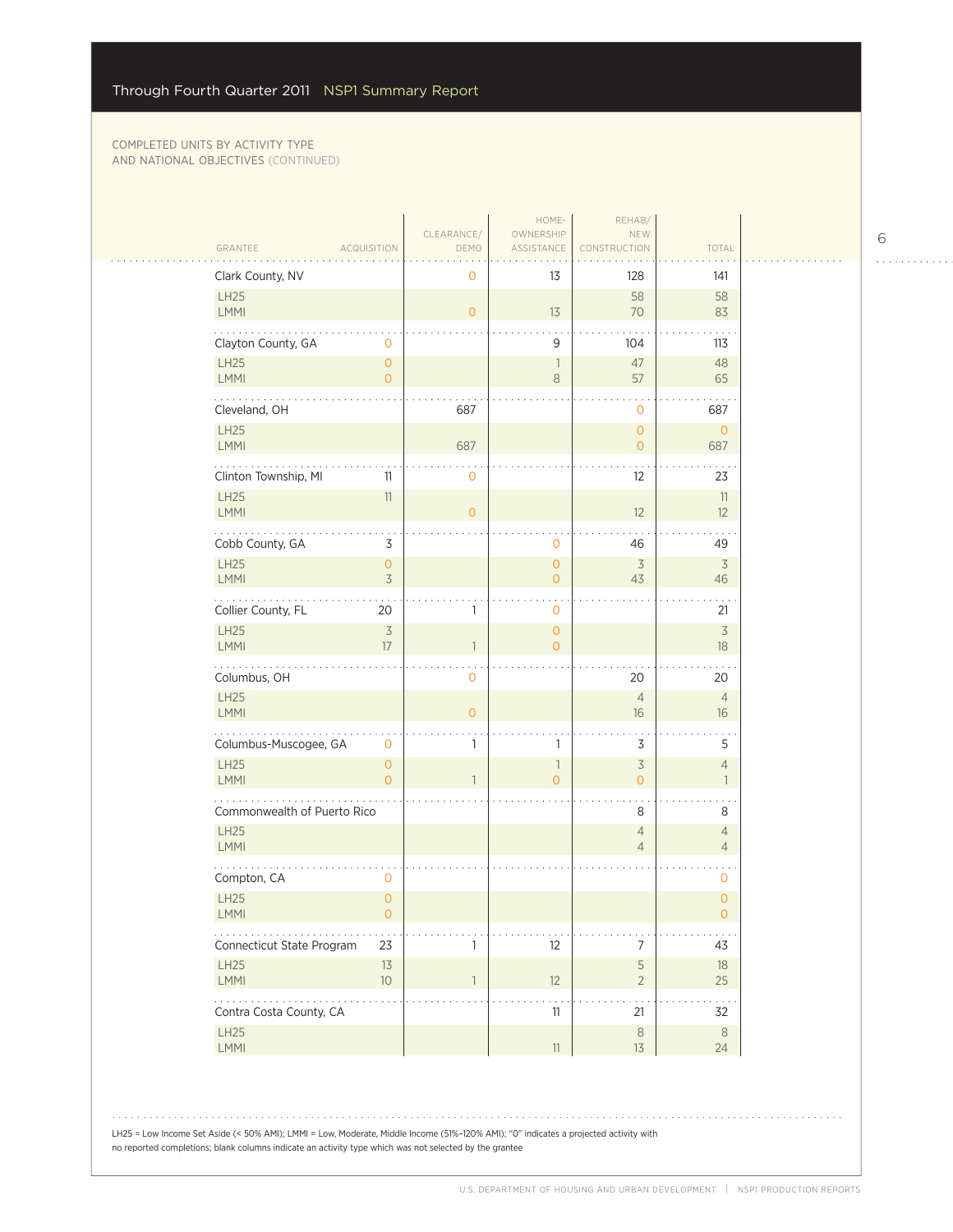| GRANTEE                                           | <b>ACQUISITION</b>                    | CLEARANCE/<br>DEMO | HOME-<br>OWNERSHIP<br>ASSISTANCE           | REHAB/<br>NEW<br>CONSTRUCTION    | TOTAL                                 |
|---------------------------------------------------|---------------------------------------|--------------------|--------------------------------------------|----------------------------------|---------------------------------------|
| Clark County, NV                                  |                                       | 0                  | 13                                         | 128                              | 141                                   |
| LH25<br>LMMI                                      |                                       | $\overline{O}$     | 13                                         | 58<br>70                         | 58<br>83                              |
| Clayton County, GA                                | 0                                     |                    | 9                                          | 104                              | 113                                   |
| <b>LH25</b><br>LMMI                               | $\mathsf{O}\xspace$<br>$\overline{0}$ |                    | $\overline{\phantom{a}}$<br>$\,8\,$        | 47<br>57                         | 48<br>65                              |
| Cleveland, OH                                     |                                       | 687                |                                            | $\mathbf 0$                      | 687                                   |
| LH25<br>LMMI                                      |                                       | 687                |                                            | $\mathbf{O}$<br>$\circ$          | $\mathbf{O}$<br>687                   |
| Clinton Township, MI                              | 11                                    | 0                  |                                            | 12                               | 23                                    |
| <b>LH25</b><br>LMMI                               | 11                                    | $\overline{O}$     |                                            | 12                               | $11\,$<br>12                          |
| Cobb County, GA                                   | 3                                     |                    | $\mathbf 0$                                | 46                               | 49                                    |
| LH25<br>LMMI                                      | $\mathsf{O}\xspace$<br>$\overline{3}$ |                    | $\mathsf{O}\xspace$<br>$\overline{O}$      | $\overline{3}$<br>43             | $\overline{3}$<br>46                  |
| Collier County, FL                                | 20                                    | 1                  | $\mathbf 0$                                |                                  | 21                                    |
| <b>LH25</b><br>LMMI                               | $\overline{\mathcal{S}}$<br>17        | $\mathbf{1}$       | $\mathbf{O}$<br>$\overline{0}$             |                                  | $\overline{\mathcal{S}}$<br>18        |
| Columbus, OH                                      |                                       | 0                  |                                            | 20                               | 20                                    |
| LH25<br>LMMI                                      |                                       | $\overline{O}$     |                                            | $\overline{4}$<br>16             | $\overline{4}$<br>16                  |
| Columbus-Muscogee, GA                             | 0                                     | 1                  | 1                                          | 3                                | 5                                     |
| <b>LH25</b><br>LMMI                               | $\mathsf{O}\xspace$<br>$\overline{0}$ |                    | $\overline{\phantom{a}}$<br>$\overline{0}$ | $\overline{3}$<br>$\overline{O}$ | $\overline{4}$<br>$\mathbf{1}$        |
| Commonwealth of Puerto Rico                       |                                       |                    |                                            | 8                                | 8                                     |
| <b>LH25</b><br>LMMI                               |                                       |                    |                                            | $\sqrt{4}$<br>$\overline{4}$     | $\overline{4}$<br>$\overline{4}$      |
| Compton, CA                                       | 0                                     |                    |                                            |                                  | 0                                     |
| LH25<br>LMMI                                      | $\overline{O}$<br>$\mathsf{O}\xspace$ |                    |                                            |                                  | $\overline{0}$<br>$\mathsf{O}\xspace$ |
| Connecticut State Program                         | 23                                    | 1                  | 12                                         | $\boldsymbol{7}$                 | 43                                    |
| LH25<br>LMMI                                      | 13<br>$10$                            |                    | 12                                         | $\mathsf S$<br>$\overline{2}$    | $18\,$<br>25                          |
| $\omega$ is a second .<br>Contra Costa County, CA |                                       |                    | 11                                         | 21                               | 32                                    |
| LH25<br>LMMI                                      |                                       |                    | $11\,$                                     | $\,8\,$<br>13                    | $\,8\,$<br>24                         |

6

 $\begin{array}{cccccccccccccc} . & . & . & . & . & . & . & . & . & . & . & . & . \end{array}$ 

LH25 = Low Income Set Aside (< 50% AMI); LMMI = Low, Moderate, Middle Income (51%–120% AMI); "0" indicates a projected activity with no reported completions; blank columns indicate an activity type which was not selected by the grantee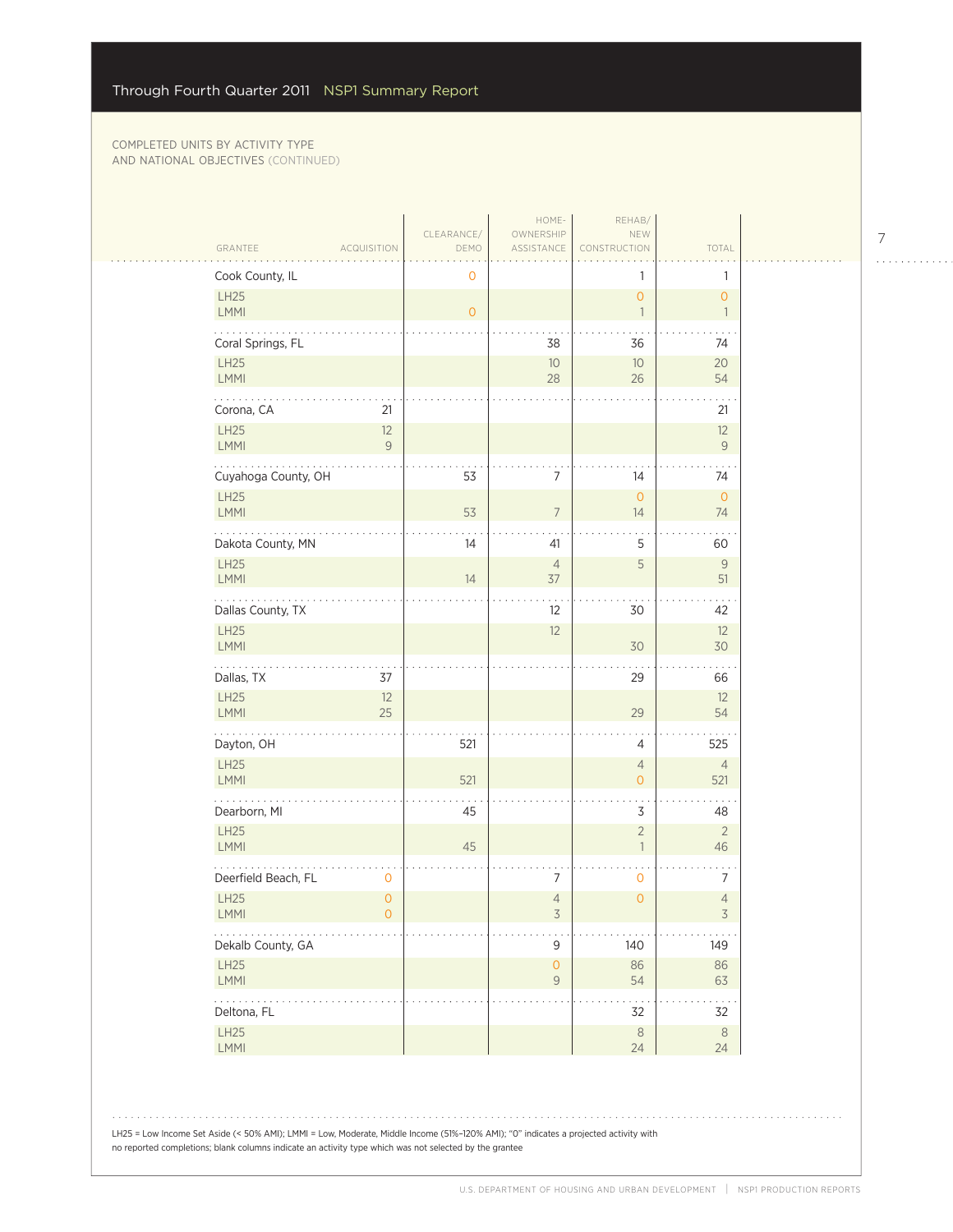|                                                                       |                                |                    | HOME-                                      | REHAB/                                     |                                          |
|-----------------------------------------------------------------------|--------------------------------|--------------------|--------------------------------------------|--------------------------------------------|------------------------------------------|
| GRANTEE                                                               | <b>ACQUISITION</b>             | CLEARANCE/<br>DEMO | OWNERSHIP<br>ASSISTANCE                    | NEW<br>CONSTRUCTION                        | TOTAL                                    |
| Cook County, IL                                                       |                                | $\mathbf 0$        |                                            | 1                                          | 1                                        |
| LH25<br>LMMI                                                          |                                | $\circ$            |                                            | $\mathsf{O}$<br>$\overline{\phantom{a}}$   | $\mathsf{O}$<br>$\overline{\phantom{a}}$ |
| Coral Springs, FL                                                     |                                |                    | 38                                         | 36                                         | 74                                       |
| LH25<br>LMMI                                                          |                                |                    | 10<br>28                                   | $10$<br>26                                 | 20<br>54                                 |
| Corona, CA                                                            | 21                             |                    |                                            |                                            | 21                                       |
| LH25<br>LMMI                                                          | 12<br>$\mathsf{9}$             |                    |                                            |                                            | 12<br>$\mathsf{9}$                       |
| Cuyahoga County, OH                                                   |                                | 53                 | 7                                          | 14                                         | 74                                       |
| LH25<br><b>LMMI</b>                                                   |                                | 53                 | $\overline{7}$                             | $\mathsf{O}$<br>14                         | $\mathsf O$<br>74                        |
| Dakota County, MN                                                     |                                | 14                 | 41                                         | 5                                          | . .<br>60                                |
| LH25<br>LMMI                                                          |                                | 14                 | $\overline{4}$<br>$37$                     | 5                                          | $\mathsf{9}$<br>51                       |
| Dallas County, TX                                                     |                                |                    | 12                                         | 30                                         | 42                                       |
| LH25<br>LMMI                                                          |                                |                    | 12                                         | 30                                         | 12<br>30                                 |
| Dallas, TX                                                            | 37                             |                    |                                            | 29                                         | 66                                       |
| LH25<br>LMMI                                                          | 12<br>25                       |                    |                                            | 29                                         | 12<br>54                                 |
| .<br>Dayton, OH                                                       |                                | 521                |                                            | $\overline{4}$                             | 525                                      |
| LH25<br>LMMI                                                          |                                | 521                |                                            | $\overline{4}$<br>$\mathbf{O}$             | $\overline{4}$<br>521                    |
| Dearborn, MI                                                          |                                | 45                 |                                            | 3                                          | 48                                       |
| LH25<br><b>LMMI</b>                                                   |                                | 45                 |                                            | $\overline{2}$<br>$\overline{\phantom{a}}$ | $\overline{2}$<br>46                     |
| Deerfield Beach, FL                                                   | $\mathbf 0$                    |                    | 7                                          | $\mathbf 0$                                | 7                                        |
| LH25<br>LMMI                                                          | $\circ$<br>$\mathsf{O}\xspace$ |                    | $\overline{4}$<br>$\overline{\mathcal{S}}$ | $\mathsf{O}\xspace$                        | $\sqrt{4}$<br>$\overline{3}$             |
| $\mathbb{Z}^2$ , $\mathbb{Z}^2$ , $\mathbb{Z}^2$<br>Dekalb County, GA |                                |                    | 9                                          | 140                                        | 149                                      |
| LH25<br>LMMI                                                          |                                |                    | $\mathsf{O}\xspace$<br>$\mathcal G$        | 86<br>54                                   | 86<br>63                                 |
| .<br>Deltona, FL                                                      |                                |                    |                                            | 32                                         | 32                                       |
| LH25<br>LMMI                                                          |                                |                    |                                            | $\,8\,$<br>24                              | $\,8\,$<br>24                            |

LH25 = Low Income Set Aside (< 50% AMI); LMMI = Low, Moderate, Middle Income (51%–120% AMI); "0" indicates a projected activity with no reported completions; blank columns indicate an activity type which was not selected by the grantee

7

 $\begin{array}{cccccccccccccc} . & . & . & . & . & . & . & . & . & . & . & . & . \end{array}$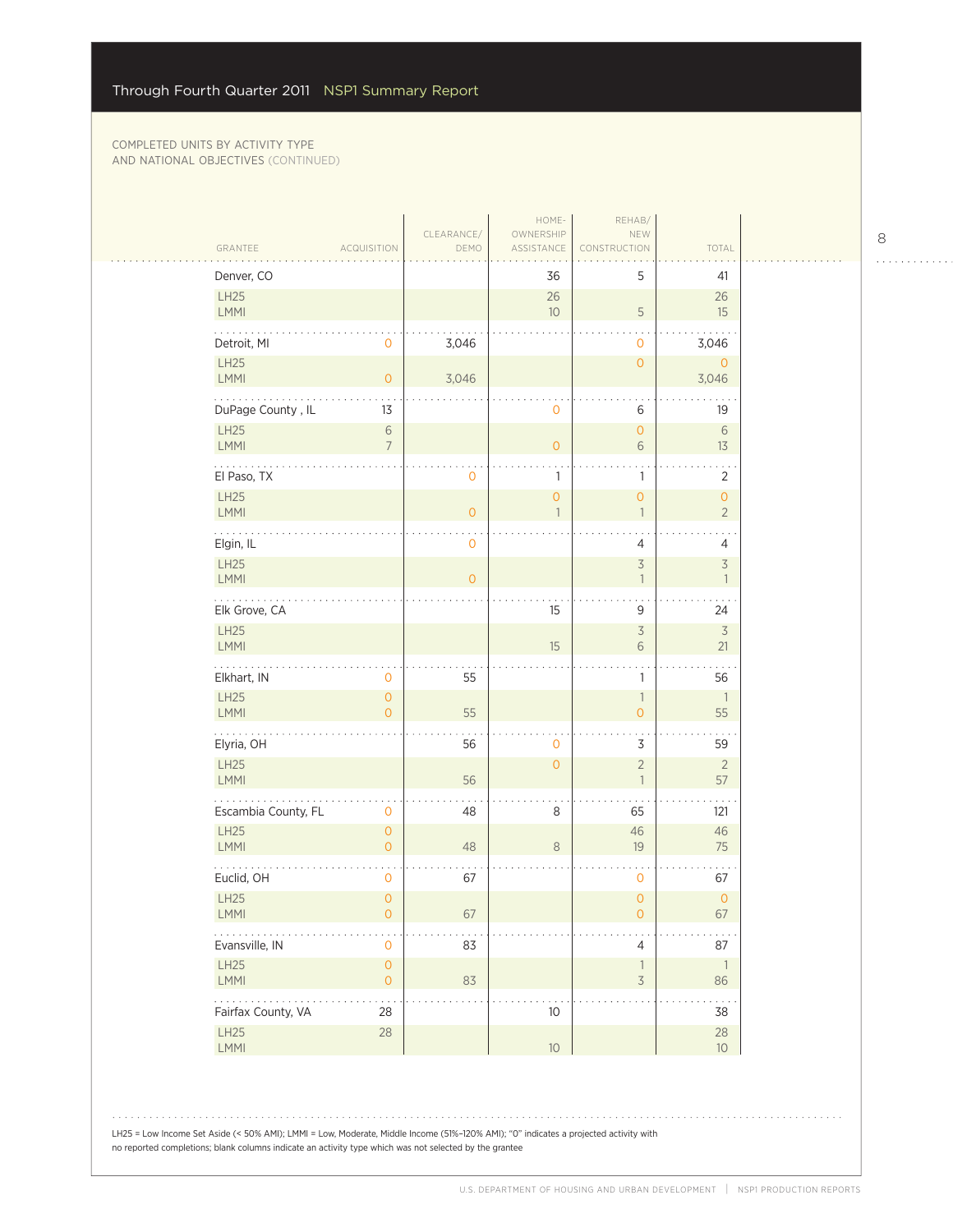$\mathbb{R}$ 

| GRANTEE                           | ACQUISITION                                | CLEARANCE/<br>DEMO | HOME-<br>OWNERSHIP<br>ASSISTANCE      | REHAB/<br>NEW<br>CONSTRUCTION              | TOTAL                                      |
|-----------------------------------|--------------------------------------------|--------------------|---------------------------------------|--------------------------------------------|--------------------------------------------|
| Denver, CO                        |                                            |                    | 36                                    | 5                                          | 41                                         |
| LH25<br>LMMI                      |                                            |                    | $26\,$<br>10                          | $\sqrt{5}$                                 | 26<br>15                                   |
| Detroit, MI                       | $\mathbf 0$                                | 3,046              |                                       | $\mathbf{O}$                               | 3,046                                      |
| LH25<br>LMMI                      | $\mathbf{O}$                               | 3,046              |                                       | $\overline{0}$                             | $\mathbf{0}$<br>3,046                      |
| DuPage County, IL                 | 13                                         |                    | 0                                     | 6                                          | 19                                         |
| LH25<br>LMMI                      | $\,$ $\,$ $\,$<br>$\overline{7}$           |                    | $\mathbf{O}$                          | $\circ$<br>$6\,$                           | 6<br>13                                    |
| .<br>El Paso, TX                  |                                            | $\mathbf 0$        | 1                                     | 1                                          | $\sim$ $\sim$<br>2                         |
| LH25<br>LMMI                      |                                            | $\mathsf O$        | $\mathsf{O}\xspace$<br>$\overline{1}$ | $\mathsf{O}\xspace$<br>$\overline{1}$      | $\mathsf{O}$<br>$\overline{2}$             |
| .<br>Elgin, IL                    |                                            | $\mathbf 0$        |                                       | $\overline{4}$                             | $\overline{4}$                             |
| LH25<br>LMMI                      |                                            | $\overline{O}$     |                                       | $\overline{\mathcal{S}}$<br>$\overline{1}$ | $\overline{5}$<br>$\overline{\phantom{a}}$ |
| .<br>Elk Grove, CA                |                                            |                    | 15                                    | 9                                          | 24                                         |
| LH25<br>LMMI                      |                                            |                    | 15                                    | $\overline{\mathcal{S}}$<br>$\sqrt{6}$     | $\overline{\mathcal{S}}$<br>21             |
| Elkhart, IN                       | 0                                          | 55                 |                                       | 1                                          | $\sim$ $\sim$<br>56                        |
| LH25<br>LMMI                      | $\circ$<br>$\overline{O}$                  | 55                 |                                       | $\mathbb{1}$<br>$\circ$                    | $\overline{1}$<br>55                       |
| .<br>Elyria, OH                   |                                            | 56                 | $\overline{0}$                        | 3                                          | 59                                         |
| LH25<br>LMMI                      |                                            | 56                 | $\overline{0}$                        | $\sqrt{2}$<br>$\overline{1}$               | $\overline{2}$<br>57                       |
| Escambia County, FL               | $\mathbf 0$                                | 48                 | 8                                     | 65                                         | 121                                        |
| <b>LH25</b><br>LMMI               | $\mathbf{O}$<br>$\overline{O}$             | 48                 | $\,8\,$                               | 46<br>19                                   | 46<br>$75\,$                               |
| Euclid, OH                        | 0                                          | 67                 |                                       | 0                                          | 67                                         |
| LH25<br>LMMI                      | $\overline{0}$<br>$\mathsf{O}\xspace$      | 67                 |                                       | $\mathsf{O}\xspace$<br>$\mathsf{O}\xspace$ | $\mathsf O$<br>67                          |
| $\ldots$ .<br>Evansville, IN      | $\mathsf{O}\xspace$                        | 83                 |                                       | $\overline{4}$                             | 87                                         |
| LH25<br>LMMI                      | $\mathsf{O}\xspace$<br>$\mathsf{O}\xspace$ | 83                 |                                       | $\mathbf{1}$<br>$\overline{\mathcal{S}}$   | $\overline{\phantom{a}}$<br>86             |
| 2.122222222<br>Fairfax County, VA | 28                                         |                    | $10$                                  |                                            | 38                                         |
| LH25<br>LMMI                      | $28\,$                                     |                    | $10$                                  |                                            | $28\,$<br>10 <sup>°</sup>                  |

LH25 = Low Income Set Aside (< 50% AMI); LMMI = Low, Moderate, Middle Income (51%–120% AMI); "0" indicates a projected activity with no reported completions; blank columns indicate an activity type which was not selected by the grantee

8

 $\begin{array}{cccccccccccccc} . & . & . & . & . & . & . & . & . & . & . & . & . \end{array}$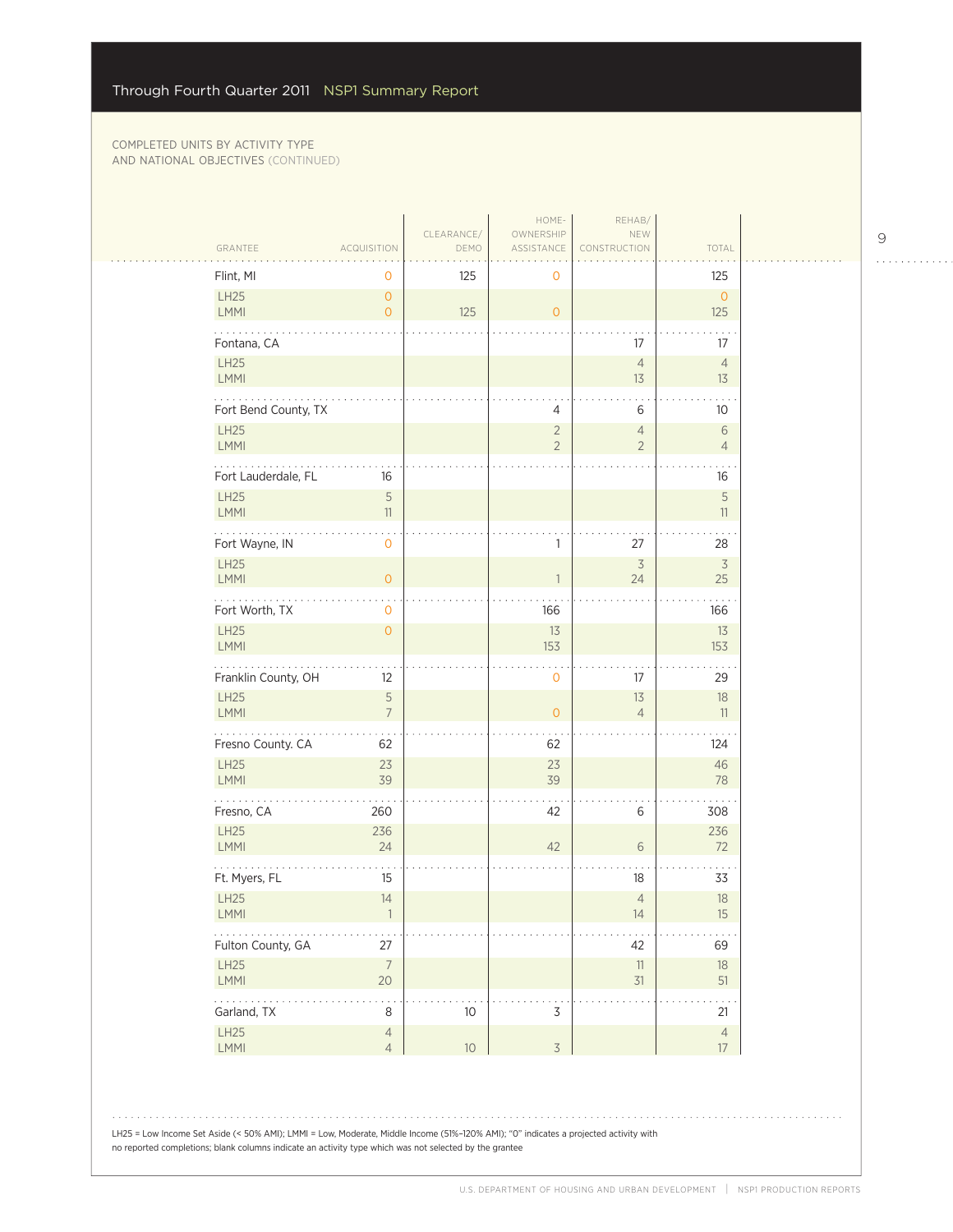$\mathcal{L}_{\mathcal{A}}$ 

| GRANTEE                                                         | <b>ACQUISITION</b>               | CLEARANCE/<br>DEMO | HOME-<br>OWNERSHIP<br>ASSISTANCE | REHAB/<br>NEW<br>CONSTRUCTION    | TOTAL                          |
|-----------------------------------------------------------------|----------------------------------|--------------------|----------------------------------|----------------------------------|--------------------------------|
| Flint, MI                                                       | 0                                | 125                | 0                                |                                  | 125                            |
| LH25<br>LMMI                                                    | $\mathbf{O}$<br>$\overline{O}$   | 125                | $\overline{O}$                   |                                  | $\circ$<br>125                 |
| Fontana, CA                                                     |                                  |                    |                                  | 17                               | 17                             |
| LH25<br>LMMI                                                    |                                  |                    |                                  | $\sqrt{4}$<br>13                 | $\overline{4}$<br>13           |
| Fort Bend County, TX                                            |                                  |                    | 4                                | 6                                | 10                             |
| LH25<br><b>LMMI</b>                                             |                                  |                    | $\sqrt{2}$<br>$\overline{2}$     | $\overline{4}$<br>$\overline{2}$ | $\sqrt{6}$<br>$\overline{4}$   |
| $\sim$ $\sim$ $\sim$<br>Fort Lauderdale, FL                     | 16                               |                    |                                  |                                  | 16                             |
| LH25<br>LMMI                                                    | 5<br>11                          |                    |                                  |                                  | $\sqrt{5}$<br>11               |
| Fort Wayne, IN                                                  | $\mathbf 0$                      |                    | 1                                | 27                               | 28                             |
| LH25<br>LMMI                                                    | $\overline{O}$                   |                    |                                  | $\overline{\mathcal{S}}$<br>24   | $\overline{\mathcal{S}}$<br>25 |
| .<br>Fort Worth, TX                                             | 0                                |                    | 166                              |                                  | 166                            |
| LH25<br><b>LMMI</b>                                             | $\circ$                          |                    | 13<br>153                        |                                  | 13<br>153                      |
| Franklin County, OH                                             | 12                               |                    | $\mathbf 0$                      | 17                               | 29                             |
| LH25<br>LMMI                                                    | 5<br>$\overline{7}$              |                    | $\overline{O}$                   | 13<br>$\overline{4}$             | $18\,$<br>11                   |
| Fresno County. CA                                               | 62                               |                    | 62                               |                                  | 124                            |
| LH25<br><b>LMMI</b>                                             | 23<br>39                         |                    | 23<br>39                         |                                  | 46<br>78                       |
| Fresno, CA                                                      | 260                              |                    | 42                               | 6                                | 308                            |
| LH25<br><b>LMMI</b>                                             | 236<br>24                        |                    | 42                               | 6                                | 236<br>72                      |
| .<br>Ft. Myers, FL                                              | 15                               |                    |                                  | 18                               | 33                             |
| LH25<br>LMMI                                                    | 14<br>$\mathbf{1}$               |                    |                                  | $\overline{4}$<br>14             | 18<br>15                       |
| $\mathbb{Z}^2$ . The set of $\mathbb{Z}^2$<br>Fulton County, GA | 27                               |                    |                                  | 42                               | 69                             |
| LH25<br>LMMI                                                    | $\overline{7}$<br>20             |                    |                                  | $11\,$<br>31                     | $18\,$<br>51                   |
| 200000<br>Garland, TX                                           | 8                                | $10$               | $\mathsf 3$                      |                                  | 21                             |
| LH25<br>LMMI                                                    | $\overline{4}$<br>$\overline{4}$ | $10$               | $\overline{3}$                   |                                  | $\overline{4}$<br>17           |

LH25 = Low Income Set Aside (< 50% AMI); LMMI = Low, Moderate, Middle Income (51%–120% AMI); "0" indicates a projected activity with no reported completions; blank columns indicate an activity type which was not selected by the grantee

 $\begin{array}{cccccccccccccc} . & . & . & . & . & . & . & . & . & . & . & . & . \end{array}$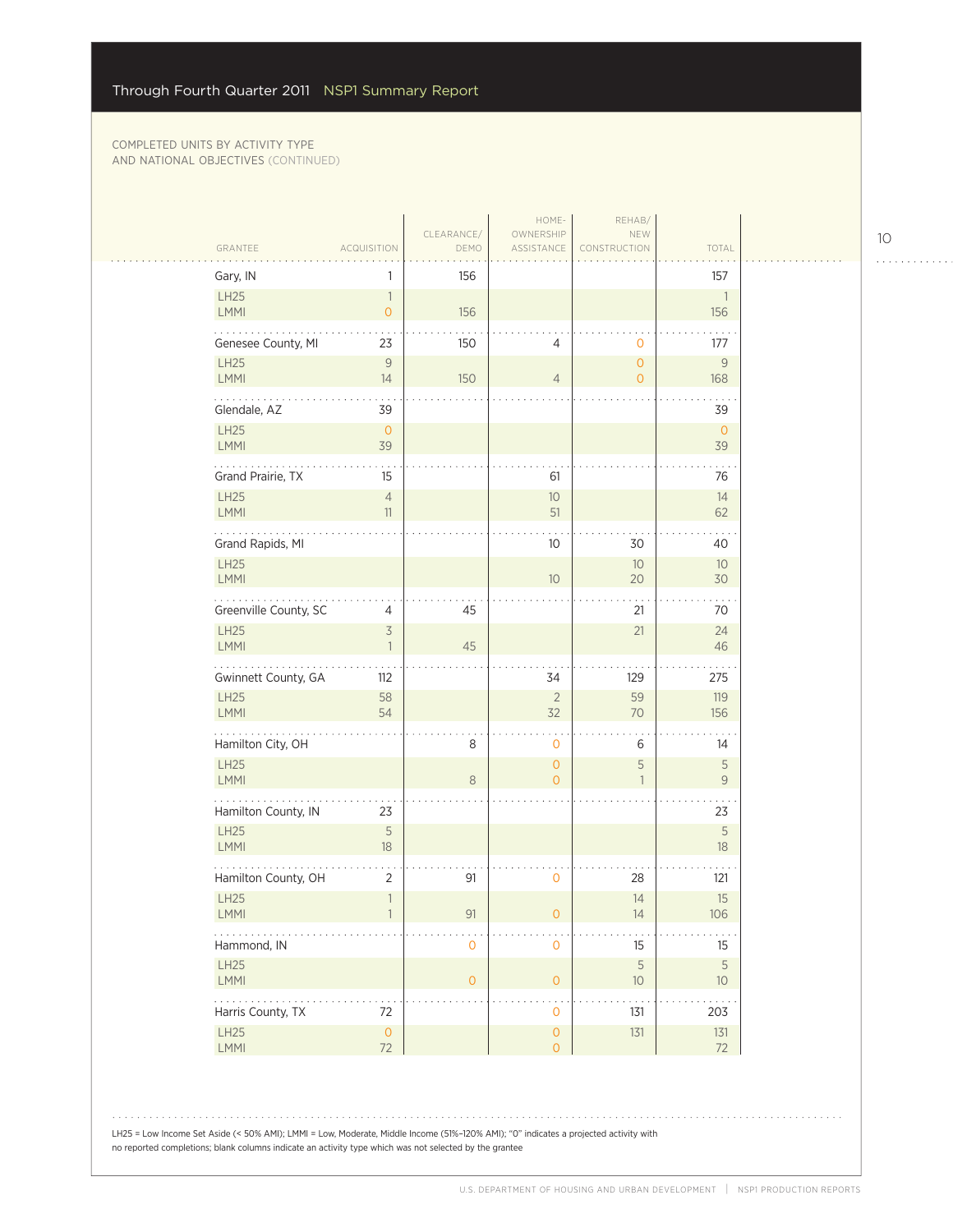| Gary, IN                   | 1                                          | 156            |                                    |                                       | 157                                      |  |
|----------------------------|--------------------------------------------|----------------|------------------------------------|---------------------------------------|------------------------------------------|--|
| <b>LH25</b><br>LMMI        | $\overline{\phantom{a}}$<br>$\overline{O}$ | 156            |                                    |                                       | $\overline{1}$<br>156                    |  |
| Genesee County, MI         | 23                                         | 150            | 4                                  | 0                                     | 177                                      |  |
| <b>LH25</b><br>LMMI        | $\mathsf{9}$<br>14                         | 150            | $\overline{4}$                     | $\mathsf{O}\xspace$<br>$\overline{O}$ | $\mathsf{g}% _{T}=\mathsf{g}_{T}$<br>168 |  |
| .<br>Glendale, AZ          | 39                                         |                |                                    |                                       | 39                                       |  |
| LH25<br><b>LMMI</b>        | $\circ$<br>39                              |                |                                    |                                       | $\mathbf{0}$<br>39                       |  |
| Grand Prairie, TX          | 15                                         |                | 61                                 |                                       | 76                                       |  |
| <b>LH25</b><br>LMMI        | $\overline{4}$<br>11                       |                | $10$<br>51                         |                                       | 14<br>62                                 |  |
| Grand Rapids, MI           |                                            |                | 10                                 | 30                                    | 40                                       |  |
| <b>LH25</b><br>LMMI        |                                            |                | 10                                 | 10<br>20                              | 10<br>30                                 |  |
| Greenville County, SC      | $\overline{4}$                             | 45             |                                    | 21                                    | 70                                       |  |
| <b>LH25</b><br>LMMI        | $\overline{\mathcal{S}}$<br>$\overline{1}$ | 45             |                                    | 21                                    | 24<br>46                                 |  |
| Gwinnett County, GA        | $112$                                      |                | 34                                 | 129                                   | 275                                      |  |
| LH25<br>LMMI               | 58<br>54                                   |                | $\sqrt{2}$<br>32                   | 59<br>70                              | 119<br>156                               |  |
| .<br>Hamilton City, OH     |                                            | 8              | $\mathbf 0$                        | 6                                     | 14                                       |  |
| <b>LH25</b><br><b>LMMI</b> |                                            | 8              | $\overline{0}$<br>$\overline{0}$   | $\sqrt{5}$<br>$\mathbf{1}$            | 5<br>$\overline{9}$                      |  |
| Hamilton County, IN        | 23                                         |                |                                    |                                       | 23                                       |  |
| <b>LH25</b><br>LMMI        | $\mathsf S$<br>$18\,$                      |                |                                    |                                       | $\mathsf S$<br>18                        |  |
| Hamilton County, OH        | $\sqrt{2}$                                 | 91             | $\mathbf 0$                        | 28                                    | 121                                      |  |
| <b>LH25</b><br>LMMI        | $\overline{1}$<br>$\overline{1}$           | 91             | O                                  | 14<br>$\overline{14}$                 | 15<br>106                                |  |
| Hammond, IN                |                                            | $\mathbf 0$    | $\mathbf 0$                        | 15                                    | 15                                       |  |
| <b>LH25</b><br>LMMI        |                                            | $\overline{O}$ | $\mathsf O$                        | $\sqrt{5}$<br>$10$                    | 5<br>10 <sup>°</sup>                     |  |
| .<br>Harris County, TX     | 72                                         |                | $\mathbf 0$                        | 131                                   | 203                                      |  |
| LH25<br>LMMI               | $\mathsf{O}$<br>72                         |                | $\mathsf O$<br>$\mathsf{O}\xspace$ | $131$                                 | 131<br>72                                |  |

LH25 = Low Income Set Aside (< 50% AMI); LMMI = Low, Moderate, Middle Income (51%–120% AMI); "0" indicates a projected activity with no reported completions; blank columns indicate an activity type which was not selected by the grantee

10

. . . . . . . . . . . .

الأنباء

 $\bar{z}$  ,  $\bar{z}$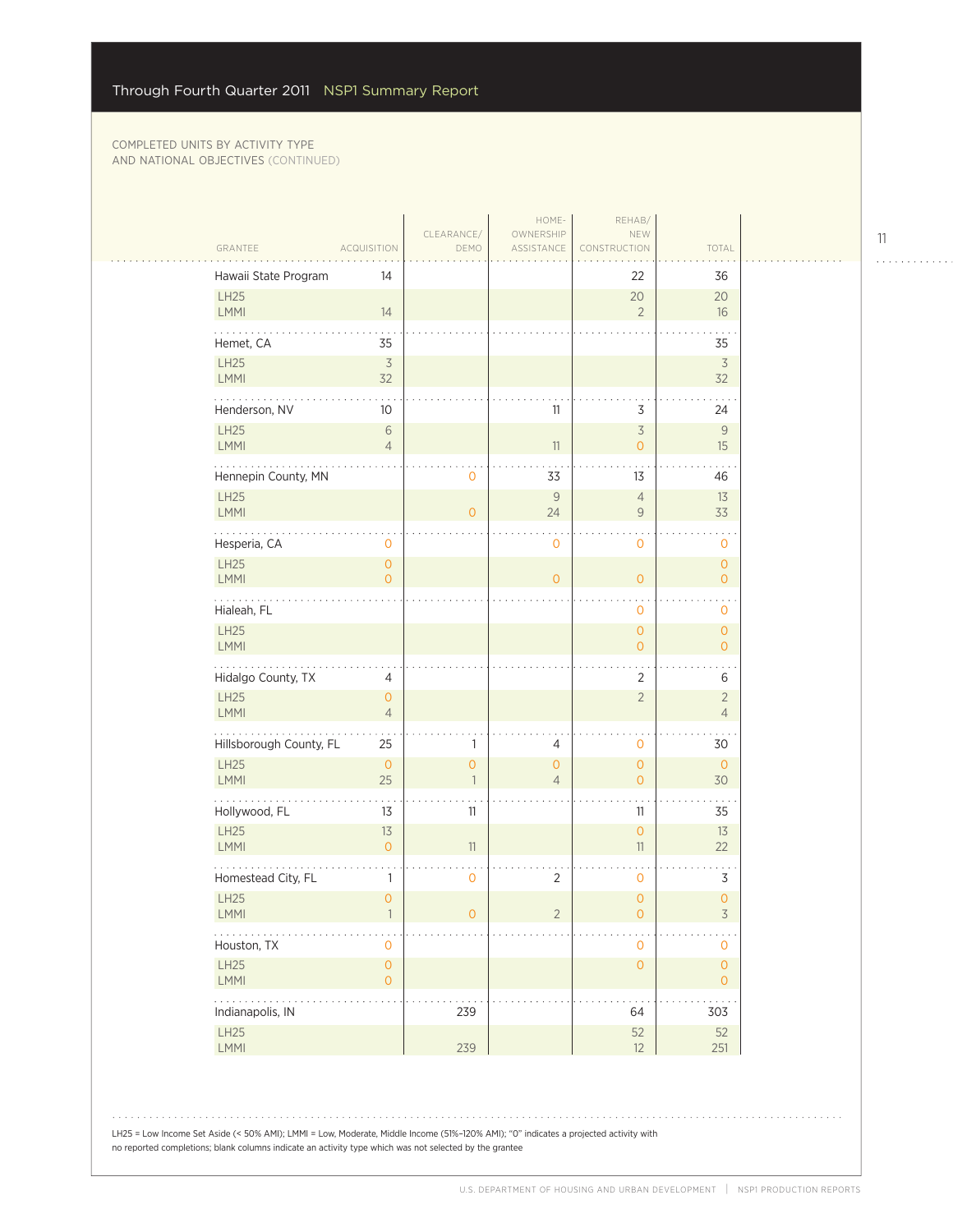|                         |                                            |                                     | HOME-                            | REHAB/                                     |                                     |  |
|-------------------------|--------------------------------------------|-------------------------------------|----------------------------------|--------------------------------------------|-------------------------------------|--|
| GRANTEE                 | <b>ACQUISITION</b>                         | CLEARANCE/<br>DEMO                  | OWNERSHIP<br>ASSISTANCE          | NEW<br>CONSTRUCTION                        | TOTAL                               |  |
| Hawaii State Program    | 14                                         |                                     |                                  | 22                                         | 36                                  |  |
| LH25<br>LMMI            | 14                                         |                                     |                                  | 20<br>$\overline{2}$                       | 20<br>16                            |  |
| Hemet, CA               | 35                                         |                                     |                                  |                                            | 35                                  |  |
| LH25<br>LMMI            | $\overline{\mathcal{S}}$<br>32             |                                     |                                  |                                            | $\overline{\mathcal{S}}$<br>32      |  |
| Henderson, NV           | 10                                         |                                     | 11                               | 3                                          | 24                                  |  |
| <b>LH25</b><br>LMMI     | $\sqrt{6}$<br>$\overline{4}$               |                                     | 11                               | $\overline{\mathcal{S}}$<br>$\circ$        | 9<br>15                             |  |
| Hennepin County, MN     |                                            | 0                                   | 33                               | 13                                         | 46                                  |  |
| LH25<br>LMMI            |                                            | $\overline{0}$                      | $\overline{9}$<br>24             | $\overline{4}$<br>$\mathsf{9}$             | 13<br>33                            |  |
| Hesperia, CA            | $\mathbf 0$                                |                                     | $\mathbf 0$                      | $\mathbf{O}$                               | 0                                   |  |
| LH25<br>LMMI            | $\mathsf{O}\xspace$<br>$\overline{O}$      |                                     | $\overline{O}$                   | $\circ$                                    | $\mathsf{O}\xspace$<br>$\mathbf{O}$ |  |
| Hialeah, FL             |                                            |                                     |                                  | $\mathbf 0$                                | $\sim$<br>0                         |  |
| LH25<br><b>LMMI</b>     |                                            |                                     |                                  | $\mathsf{O}\xspace$<br>$\circ$             | $\circ$<br>$\mathbf{O}$             |  |
| Hidalgo County, TX      | $\overline{4}$                             |                                     |                                  | $\overline{2}$                             | 6                                   |  |
| LH25<br>LMMI            | $\overline{O}$<br>$\overline{4}$           |                                     |                                  | $\overline{2}$                             | $\sqrt{2}$<br>$\overline{4}$        |  |
| Hillsborough County, FL | 25                                         | 1                                   | 4                                | $\mathbf{O}$                               | 30                                  |  |
| LH25<br><b>LMMI</b>     | $\mathsf{O}\xspace$<br>25                  | $\mathsf{O}\xspace$<br>$\mathbf{1}$ | $\overline{O}$<br>$\overline{4}$ | $\mathsf{O}\xspace$<br>$\circ$             | $\circ$<br>30                       |  |
| Hollywood, FL           | 13                                         | 11                                  |                                  | 11                                         | 35                                  |  |
| <b>LH25</b><br>LMMI     | 13<br>$\mathsf{O}\xspace$                  | 11                                  |                                  | $\mathsf{O}\xspace$<br>11                  | 13<br>22                            |  |
| Homestead City, FL      | 1                                          | 0                                   | $\overline{2}$                   | $\mathbf 0$                                | $\mathsf 3$                         |  |
| LH25<br>LMMI            | $\circ$                                    | $\mathsf{O}\xspace$                 | $\overline{2}$                   | $\mathsf{O}\xspace$<br>$\mathsf{O}\xspace$ | $\overline{0}$<br>3                 |  |
| .<br>Houston, TX        | $\mathbf 0$                                |                                     |                                  | $\mathsf{O}\xspace$                        | $\mathsf{O}\xspace$                 |  |
| LH25<br>LMMI            | $\mathsf{O}\xspace$<br>$\mathsf{O}\xspace$ |                                     |                                  | $\mathsf{O}\xspace$                        | $\mathsf{O}\xspace$<br>$\mathbf{O}$ |  |
| .<br>Indianapolis, IN   |                                            | 239                                 |                                  | 64                                         | 303                                 |  |
| LH25<br>LMMI            |                                            | 239                                 |                                  | 52<br>12                                   | 52<br>251                           |  |
|                         |                                            |                                     |                                  |                                            |                                     |  |

LH25 = Low Income Set Aside (< 50% AMI); LMMI = Low, Moderate, Middle Income (51%–120% AMI); "0" indicates a projected activity with no reported completions; blank columns indicate an activity type which was not selected by the grantee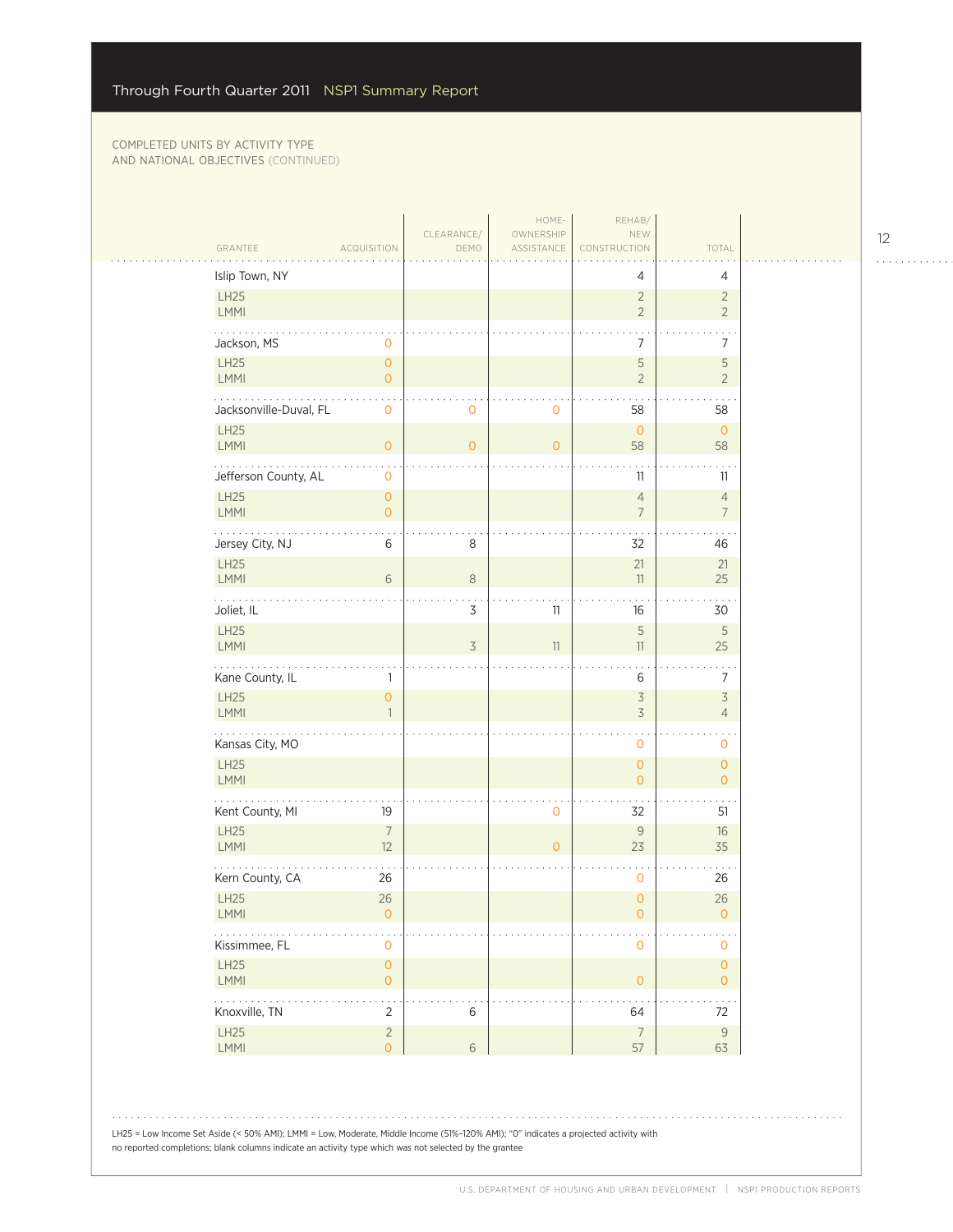|                                         | <b>ACQUISITION</b>                         | DEMO         | ASSISTANCE     | CONSTRUCTION                                         | TOTAL                                      |  |
|-----------------------------------------|--------------------------------------------|--------------|----------------|------------------------------------------------------|--------------------------------------------|--|
| Islip Town, NY                          |                                            |              |                | 4                                                    | 4                                          |  |
| LH25<br>LMMI                            |                                            |              |                | $\overline{2}$<br>$\overline{2}$                     | $\overline{2}$<br>$\overline{2}$           |  |
| Jackson, MS                             | 0                                          |              |                | $\bullet$<br>$\overline{7}$                          | $\ddotsc$<br>7                             |  |
| LH25<br>LMMI                            | $\mathsf{O}\xspace$<br>$\overline{0}$      |              |                | 5<br>$\overline{2}$                                  | 5<br>$\overline{2}$                        |  |
| .<br>Jacksonville-Duval, FL             | $\mathbf 0$                                | $\mathbf{O}$ | $\mathbf 0$    | 58                                                   | 58                                         |  |
| <b>LH25</b><br><b>LMMI</b>              | $\mathsf{O}\xspace$                        | $\circ$      | $\overline{O}$ | $\mathbf{O}$<br>58                                   | $\overline{0}$<br>58                       |  |
| Jefferson County, AL                    | $\mathsf{O}\xspace$                        |              |                | 11                                                   | 11                                         |  |
| LH25<br><b>LMMI</b>                     | $\mathsf{O}\xspace$<br>$\overline{0}$      |              |                | $\overline{4}$<br>$\overline{7}$                     | $\overline{4}$<br>$\overline{7}$           |  |
| Jersey City, NJ                         | 6                                          | 8            |                | 32                                                   | 46                                         |  |
| LH25<br>LMMI                            | 6                                          | $\,8\,$      |                | 21<br>11                                             | 21<br>25                                   |  |
| بالماليات<br>Joliet, IL                 |                                            | 3            | 11             | 16                                                   | 30                                         |  |
| LH25<br><b>LMMI</b>                     |                                            | 3            | 11             | $\sqrt{5}$<br>11                                     | 5<br>25                                    |  |
| Kane County, IL                         | 1                                          |              |                | 6                                                    | $\sim$ $\sim$<br>$\overline{7}$            |  |
| LH25<br>LMMI                            | 0                                          |              |                | $\overline{\mathcal{S}}$<br>$\overline{\mathcal{S}}$ | $\overline{\mathcal{S}}$<br>$\overline{4}$ |  |
| .<br>Kansas City, MO                    |                                            |              |                | 0                                                    | 0                                          |  |
| LH25<br><b>LMMI</b>                     |                                            |              |                | $\overline{O}$<br>$\overline{O}$                     | $\overline{O}$<br>$\overline{0}$           |  |
| Kent County, MI                         | 19                                         |              | $\mathbf 0$    | 32                                                   | 51                                         |  |
| <b>LH25</b><br><b>LMMI</b>              | $\overline{7}$<br>12                       |              | $\overline{O}$ | $\mathcal{G}$<br>23                                  | 16<br>35                                   |  |
| Kern County, CA                         | 26                                         |              |                | 0                                                    | 26                                         |  |
| LH25<br><b>LMMI</b>                     | 26<br>0                                    |              |                | $\overline{0}$<br>0                                  | 26<br>0                                    |  |
| $\ldots$ .<br>Kissimmee, FL             | 0                                          |              |                | $\mathsf{O}\xspace$                                  | $\mathsf{O}\xspace$                        |  |
| LH25<br>LMMI                            | $\mathsf{O}\xspace$<br>$\mathsf{O}\xspace$ |              |                | $\mathsf{O}\xspace$                                  | $\mathsf{O}\xspace$<br>$\overline{O}$      |  |
| $\omega$ is a second .<br>Knoxville, TN | $\overline{2}$                             | $\,$ 6 $\,$  |                | 64                                                   | $\sim$ $\sim$<br>72                        |  |
| LH25<br>LMMI                            | $\overline{2}$<br>$\overline{O}$           | $\sqrt{6}$   |                | $\overline{7}$<br>57                                 | $\mathsf 9$<br>63                          |  |

LH25 = Low Income Set Aside (< 50% AMI); LMMI = Low, Moderate, Middle Income (51%–120% AMI); "0" indicates a projected activity with no reported completions; blank columns indicate an activity type which was not selected by the grantee

12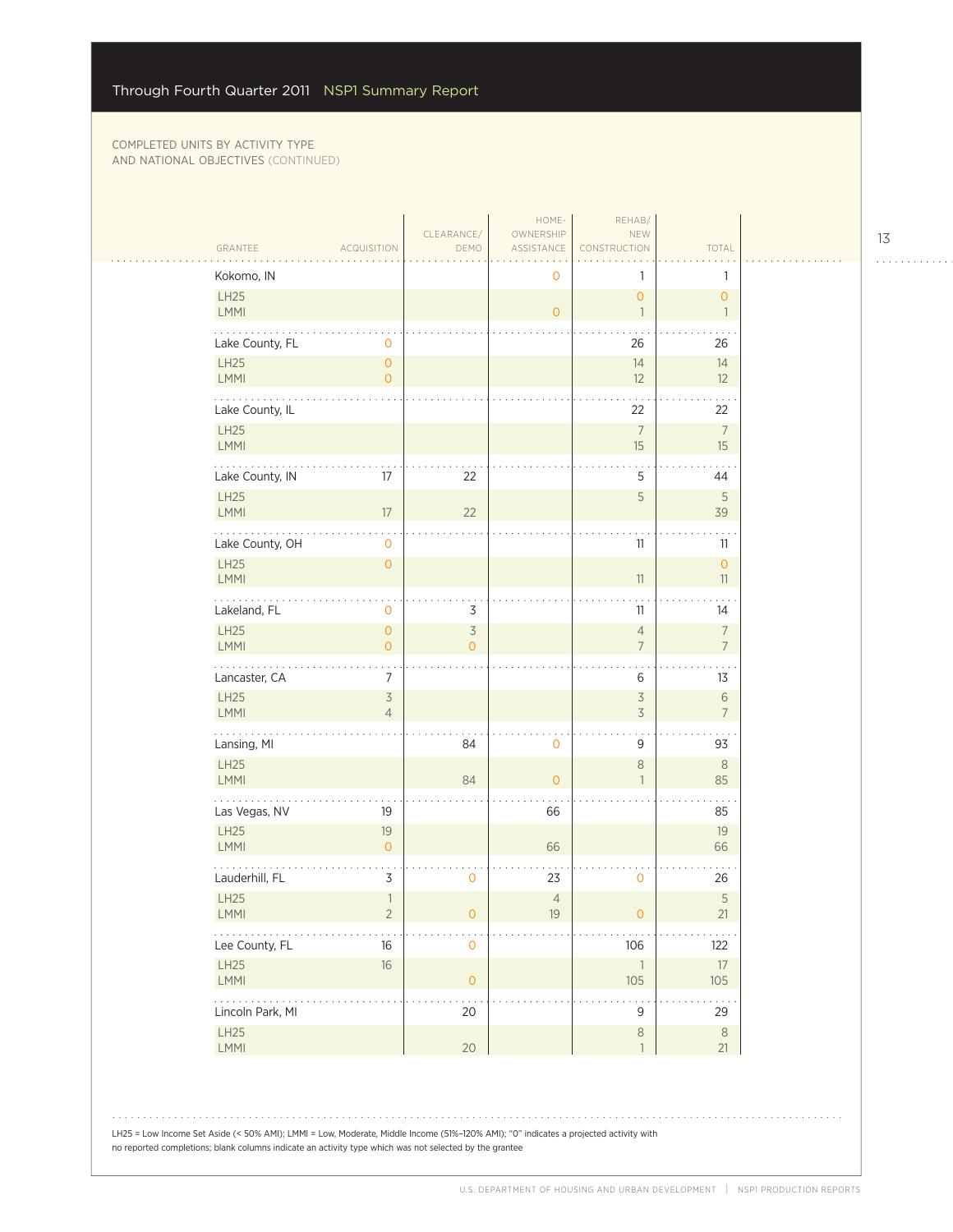$\sim$  . . . .

| GRANTEE               | <b>ACQUISITION</b>                          | CLEARANCE/<br>DEMO      | HOME-<br>OWNERSHIP<br>ASSISTANCE | REHAB/<br>NEW<br>CONSTRUCTION         | TOTAL                            |
|-----------------------|---------------------------------------------|-------------------------|----------------------------------|---------------------------------------|----------------------------------|
| Kokomo, IN            |                                             |                         | 0                                | 1                                     | 1                                |
| LH25<br>LMMI          |                                             |                         | $\overline{O}$                   | $\mathsf{O}\xspace$<br>$\overline{1}$ | $\circ$<br>$\mathbf{1}$          |
| Lake County, FL       | $\mathsf{O}\xspace$                         |                         |                                  | 26                                    | 26                               |
| LH25<br>LMMI          | $\mathsf O$<br>$\overline{0}$               |                         |                                  | 14<br>12                              | 14<br>12                         |
| Lake County, IL       |                                             |                         |                                  | 22                                    | 22                               |
| LH25<br>LMMI          |                                             |                         |                                  | $\overline{7}$<br>15                  | $\overline{7}$<br>15             |
| Lake County, IN       | 17                                          | 22                      |                                  | 5                                     | 44                               |
| LH25<br>LMMI          | $17\,$                                      | 22                      |                                  | 5                                     | $\sqrt{5}$<br>39                 |
| Lake County, OH       | $\mathsf{O}\xspace$                         |                         |                                  | 11                                    | 11                               |
| LH25<br><b>LMMI</b>   | $\mathsf{O}\xspace$                         |                         |                                  | 11                                    | $\circ$<br>11                    |
| .<br>Lakeland, FL     | 0                                           | 3                       |                                  | 11                                    | 14                               |
| LH25<br>LMMI          | $\mathsf{O}\xspace$<br>$\mathsf{O}\xspace$  | 3<br>$\Omega$           |                                  | $\overline{4}$<br>$\overline{7}$      | $\overline{7}$<br>$\overline{7}$ |
| Lancaster, CA         | $\ddotsc$<br>$\overline{7}$                 |                         |                                  | 6                                     | 13                               |
| LH25<br>LMMI          | $\mathfrak{Z}$<br>$\overline{4}$            |                         |                                  | $\mathsf 3$<br>$\overline{3}$         | 6<br>$\overline{7}$              |
| Lansing, MI           |                                             | 84                      | $\mathbf 0$                      | 9                                     | 93                               |
| LH25<br><b>LMMI</b>   |                                             | 84                      | $\overline{0}$                   | $\,8\,$<br>$\mathbf{1}$               | 8<br>85                          |
| Las Vegas, NV         | 19                                          |                         | 66                               |                                       | 85                               |
| LH25<br>LMMI          | 19<br>$\mathsf{O}\xspace$                   |                         | 66                               |                                       | 19<br>66                         |
| Lauderhill, FL        | $\mathsf 3$                                 | $\mathbf 0$             | 23                               | 0                                     | 26                               |
| LH25<br>LMMI          | $\ensuremath{\mathbb{I}}$<br>$\overline{c}$ | $\circ$                 | $\overline{4}$<br>$19$           | $\mathsf{O}\xspace$                   | $\sqrt{5}$<br>21                 |
| .<br>Lee County, FL   | $16\,$                                      | $\mathsf{O}\xspace$     |                                  | 106                                   | 122                              |
| LH25<br>LMMI          | $16\,$                                      | $\mathsf{O}\xspace$     |                                  | $\overline{\phantom{a}}$<br>105       | $17\,$<br>105                    |
| .<br>Lincoln Park, MI |                                             | $\sim$ $\sim$<br>$20\,$ |                                  | $\mathsf 9$                           | 29                               |
| LH25<br>LMMI          |                                             | $20\,$                  |                                  | $\,8\,$<br>$\overline{1}$             | $\,8\,$<br>21                    |

LH25 = Low Income Set Aside (< 50% AMI); LMMI = Low, Moderate, Middle Income (51%–120% AMI); "0" indicates a projected activity with no reported completions; blank columns indicate an activity type which was not selected by the grantee

13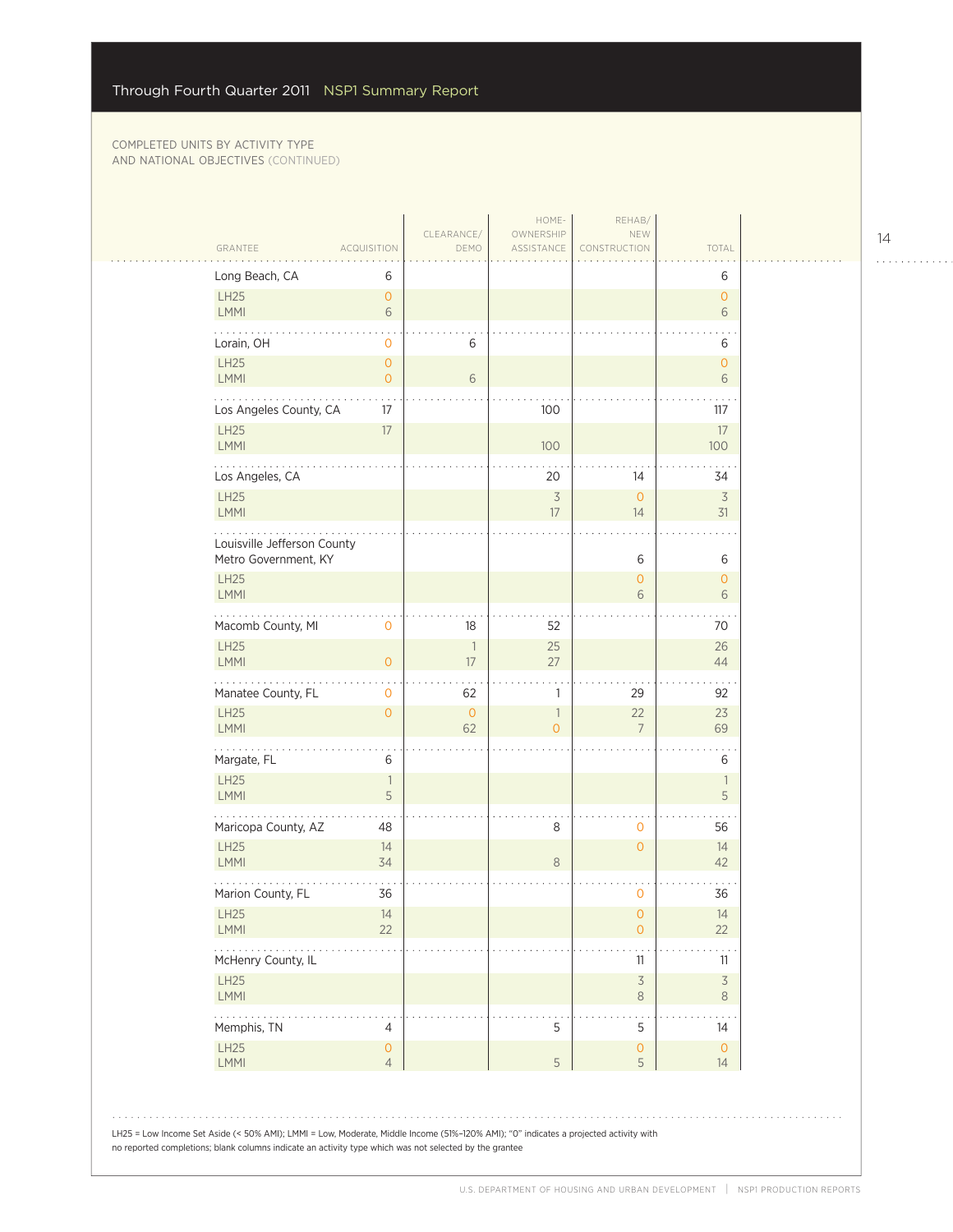| GRANTEE<br><b>ACQUISITION</b>                               | CLEARANCE/<br>DEMO             | HOME-<br>OWNERSHIP<br>ASSISTANCE           | REHAB/<br>NEW<br>CONSTRUCTION       | TOTAL                         |  |
|-------------------------------------------------------------|--------------------------------|--------------------------------------------|-------------------------------------|-------------------------------|--|
| Long Beach, CA<br>6                                         |                                |                                            |                                     | 6                             |  |
| LH25<br>$\overline{0}$<br><b>LMMI</b><br>6                  |                                |                                            |                                     | $\overline{O}$<br>6           |  |
| Lorain, OH<br>0                                             | 6                              |                                            |                                     | 6                             |  |
| LH25<br>$\mathsf{O}\xspace$<br>LMMI<br>$\overline{O}$       | 6                              |                                            |                                     | $\mathsf{O}\xspace$<br>6      |  |
| 17<br>Los Angeles County, CA                                |                                | 100                                        |                                     | 117                           |  |
| LH25<br>$17\,$<br>LMMI                                      |                                | 100                                        |                                     | 17<br>100                     |  |
| Los Angeles, CA                                             |                                | 20                                         | 14                                  | 34                            |  |
| <b>LH25</b><br>LMMI                                         |                                | $\overline{\mathcal{S}}$<br>17             | $\overline{0}$<br>14                | $\overline{3}$<br>31          |  |
| Louisville Jefferson County<br>Metro Government, KY         |                                |                                            | 6                                   | 6                             |  |
| LH25<br><b>LMMI</b>                                         |                                |                                            | $\overline{O}$<br>6                 | $\mathbf{O}$<br>6             |  |
| Macomb County, MI<br>0                                      | 18                             | 52                                         |                                     | 70                            |  |
| LH25<br><b>LMMI</b><br>$\mathsf{O}\xspace$                  | $\overline{\phantom{a}}$<br>17 | 25<br>27                                   |                                     | 26<br>44                      |  |
| Manatee County, FL<br>0                                     | 62                             | 1                                          | 29                                  | 92                            |  |
| <b>LH25</b><br>$\mathsf{O}\xspace$<br>LMMI                  | $\mathsf{O}\xspace$<br>62      | $\overline{\phantom{a}}$<br>$\overline{0}$ | 22<br>$\overline{7}$                | 23<br>69                      |  |
| Margate, FL<br>6                                            |                                |                                            |                                     | 6                             |  |
| <b>LH25</b><br>$\overline{\phantom{a}}$<br>5<br><b>LMMI</b> |                                |                                            |                                     | $\mathbf{1}$<br>5             |  |
| Maricopa County, AZ<br>48                                   |                                | 8                                          | 0                                   | 56                            |  |
| LH25<br>14<br>LMMI<br>34                                    |                                | $\,8\,$                                    | $\mathbf{O}$                        | 14<br>42                      |  |
| Marion County, FL<br>36                                     |                                |                                            | 0                                   | 36                            |  |
| LH25<br>14<br>22<br>LMMI                                    |                                |                                            | $\mathbf 0$<br>$\overline{O}$       | 14<br>22                      |  |
| McHenry County, IL                                          |                                |                                            | 11                                  | 11                            |  |
| LH25<br>LMMI                                                |                                |                                            | $\overline{\mathcal{S}}$<br>$\,8\,$ | $\overline{\mathcal{S}}$<br>8 |  |
| Memphis, TN<br>4                                            |                                | 5                                          | 5                                   | 14                            |  |
| LH25<br>$\mathsf{O}\xspace$<br>LMMI<br>$\overline{4}$       |                                | $\mathsf S$                                | 0<br>5                              | $\circ$<br>14                 |  |
|                                                             |                                |                                            |                                     |                               |  |

14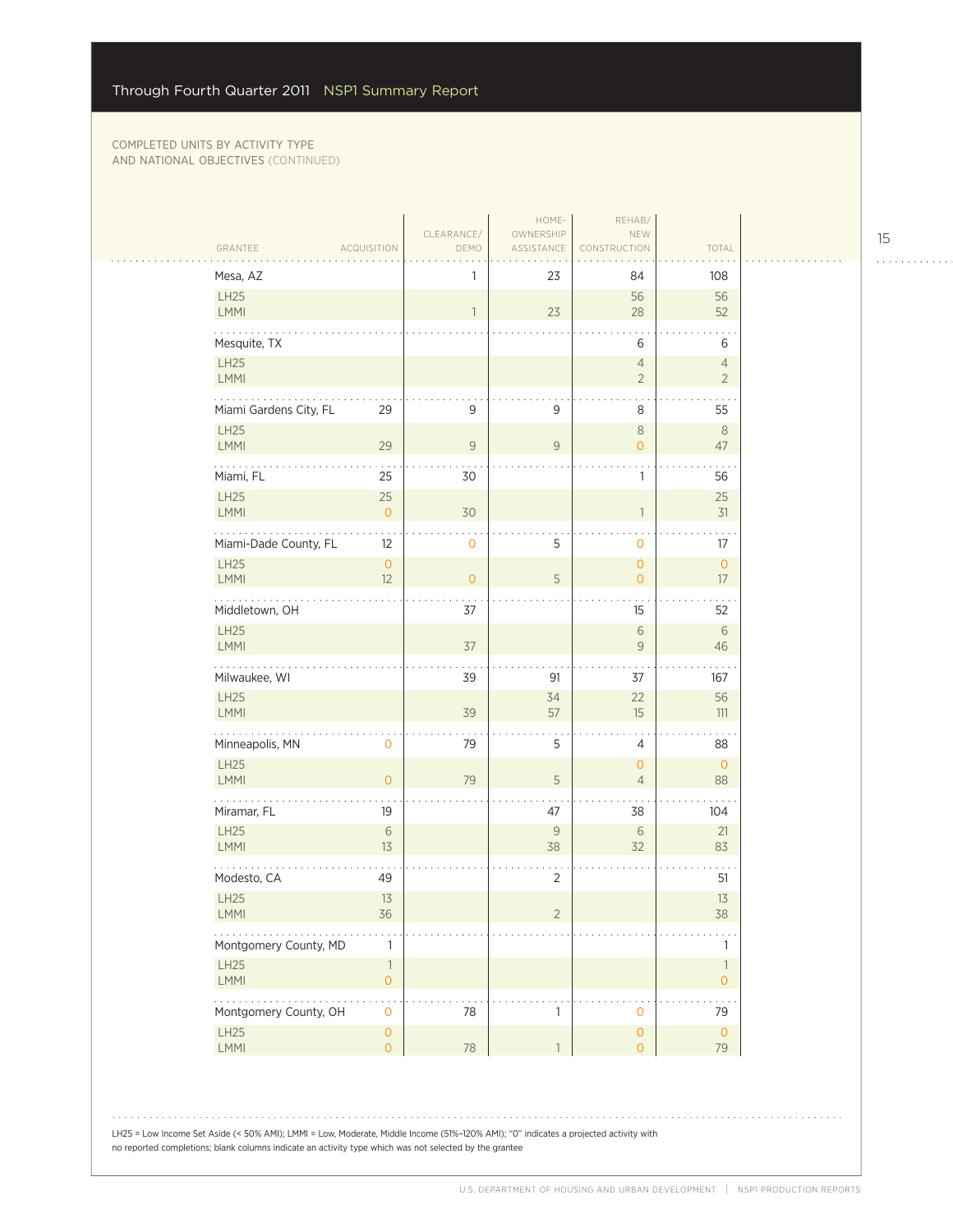$\mathcal{L}_{\mathcal{A}}$ 

| Mesa, AZ                            |                                            | 1                        | 23                 | 84                                    | 108                              |
|-------------------------------------|--------------------------------------------|--------------------------|--------------------|---------------------------------------|----------------------------------|
| LH25<br>LMMI                        |                                            | $\overline{\phantom{a}}$ | 23                 | 56<br>28                              | 56<br>52                         |
| Mesquite, TX                        |                                            |                          |                    | 6                                     | 6                                |
| LH25<br>LMMI                        |                                            |                          |                    | $\overline{4}$<br>$\overline{2}$      | $\overline{4}$<br>$\overline{2}$ |
| Miami Gardens City, FL              | 29                                         | $\mathsf 9$              | 9                  | 8                                     | 55                               |
| LH25<br>LMMI                        | 29                                         | $\mathsf 9$              | $\mathsf{9}$       | $\,8\,$<br>$\overline{O}$             | $\,8\,$<br>47                    |
| Miami, FL                           | 25                                         | 30                       |                    | 1                                     | 56                               |
| LH25<br>LMMI                        | 25<br>$\mathbf{O}$                         | 30                       |                    | $\mathbf{1}$                          | 25<br>31                         |
| Miami-Dade County, FL               | 12                                         | $\mathsf{O}\xspace$      | 5                  | $\mathbf{O}$                          | 17                               |
| LH25<br>LMMI                        | $\mathsf{O}\xspace$<br>12                  | $\circ$                  | 5                  | $\mathsf{O}\xspace$<br>$\overline{O}$ | $\mathsf O$<br>17                |
| .<br>Middletown, OH                 |                                            | 37                       |                    | 15                                    | 52                               |
| LH25<br>LMMI                        |                                            | $37$                     |                    | $\sqrt{6}$<br>$\mathcal G$            | $\,$ 6 $\,$<br>46                |
| Milwaukee, WI                       |                                            | 39                       | 91                 | 37                                    | 167                              |
| <b>LH25</b><br>LMMI                 |                                            | 39                       | 34<br>57           | 22<br>15                              | 56<br>111                        |
| .<br>Minneapolis, MN                | 0                                          | 79                       | 5                  | 4                                     | 88                               |
| LH25<br><b>LMMI</b>                 | $\overline{O}$                             | 79                       | 5                  | $\circ$<br>$\overline{4}$             | $\mathsf O$<br>88                |
| Miramar, FL                         | 19                                         |                          | 47                 | 38                                    | 104                              |
| <b>LH25</b><br>LMMI                 | $\,$ 6 $\,$<br>13                          |                          | $\mathsf{9}$<br>38 | $\sqrt{6}$<br>32                      | 21<br>83                         |
| Modesto, CA                         | 49                                         |                          | $\overline{2}$     |                                       | 51                               |
| LH25<br><b>LMMI</b>                 | 13<br>36                                   |                          | $\overline{2}$     |                                       | 13<br>38                         |
| Montgomery County, MD               | 1                                          |                          |                    |                                       | 1                                |
| LH25<br>LMMI                        | $\overline{\phantom{a}}$<br>$\overline{0}$ |                          |                    |                                       | $\mathbf{1}$<br>$\overline{O}$   |
| 20. pr. n.<br>Montgomery County, OH | $\mathsf{O}\xspace$                        | 78                       | $\mathbf{1}$       | $\mathbf 0$                           | 79                               |
| LH25<br>LMMI                        | $\mathsf{O}\xspace$<br>$\overline{O}$      | 78                       | $\mathbf{1}$       | $\mathsf{O}\xspace$<br>$\circ$        | $\mathsf O$<br>79                |

LH25 = Low Income Set Aside (< 50% AMI); LMMI = Low, Moderate, Middle Income (51%–120% AMI); "0" indicates a projected activity with no reported completions; blank columns indicate an activity type which was not selected by the grantee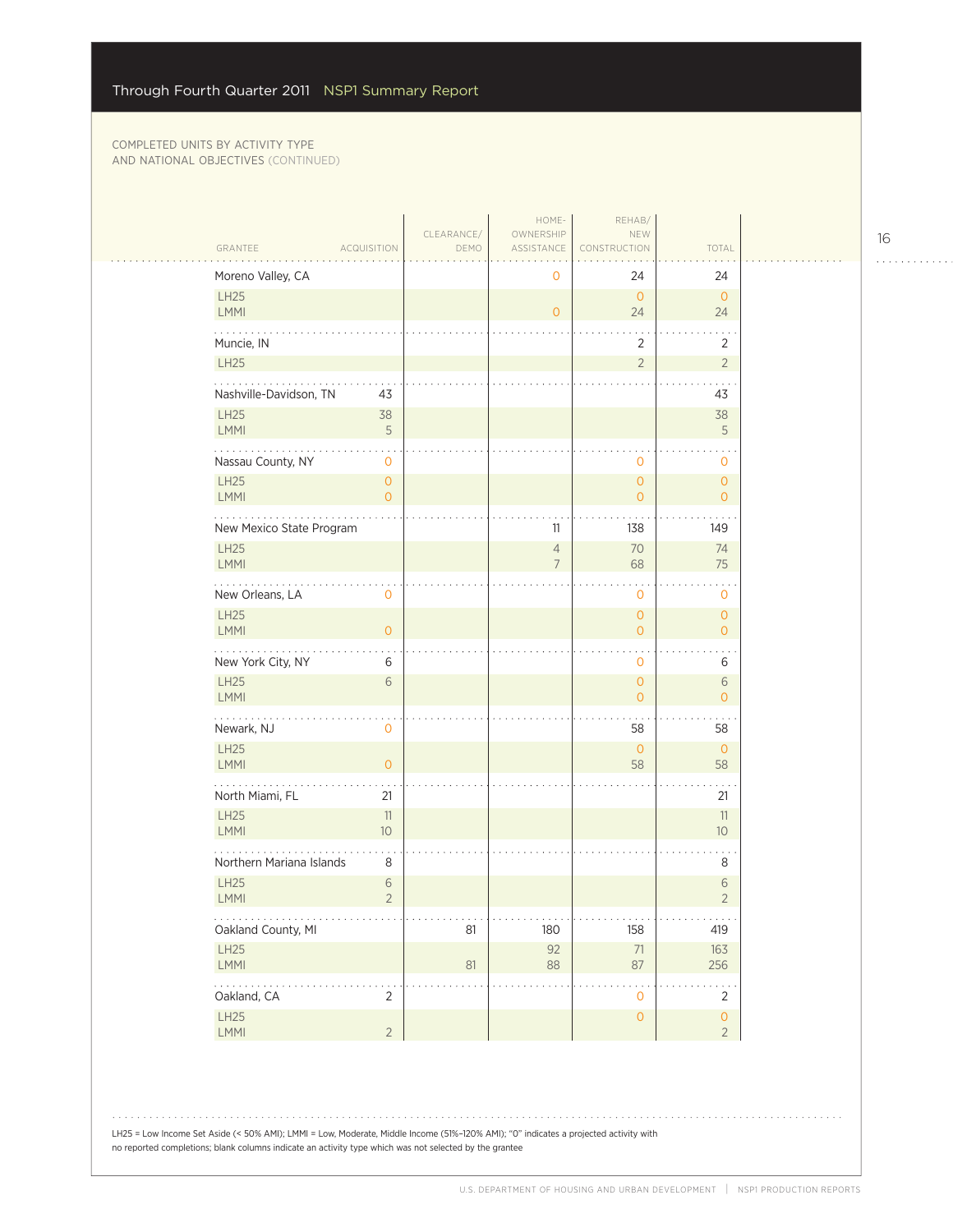$\mathcal{L}_{\mathcal{A}}$ 

| GRANTEE                  | <b>ACQUISITION</b>               | CLEARANCE/<br>DEMO         | HOME-<br>OWNERSHIP<br>ASSISTANCE | REHAB/<br>NEW<br>CONSTRUCTION         | TOTAL                                   |
|--------------------------|----------------------------------|----------------------------|----------------------------------|---------------------------------------|-----------------------------------------|
| Moreno Valley, CA        |                                  |                            | 0                                | 24                                    | 24                                      |
| LH25<br>LMMI             |                                  |                            | $\overline{O}$                   | $\overline{0}$<br>24                  | $\overline{O}$<br>24                    |
| Muncie, IN               |                                  |                            |                                  | $\overline{2}$                        | 2                                       |
| LH25                     |                                  |                            |                                  | $\overline{2}$                        | $\overline{2}$                          |
| Nashville-Davidson, TN   | 43                               |                            |                                  |                                       | 43                                      |
| <b>LH25</b><br>LMMI      | 38<br>5                          |                            |                                  |                                       | 38<br>5                                 |
| .<br>Nassau County, NY   | 0                                |                            |                                  | 0                                     | $\ddot{\phantom{0}}$<br>0               |
| <b>LH25</b><br>LMMI      | $\overline{0}$<br>$\overline{O}$ |                            |                                  | $\mathsf{O}\xspace$<br>$\overline{O}$ | $\overline{O}$<br>$\overline{0}$        |
| New Mexico State Program |                                  |                            | 11                               | 138                                   | 149                                     |
| <b>LH25</b><br>LMMI      |                                  |                            | $\overline{4}$<br>$\overline{7}$ | 70<br>68                              | 74<br>75                                |
| .<br>New Orleans, LA     | 0                                |                            |                                  | 0                                     | 0                                       |
| <b>LH25</b><br>LMMI      | $\overline{O}$                   |                            |                                  | $\circ$<br>$\overline{O}$             | $\overline{O}$<br>$\overline{O}$        |
| New York City, NY        | 6                                |                            |                                  | 0                                     | 6                                       |
| <b>LH25</b><br>LMMI      | 6                                |                            |                                  | $\overline{O}$<br>$\overline{O}$      | $\sqrt{6}$<br>$\overline{O}$            |
| Newark, NJ               | 0                                |                            |                                  | 58                                    | 58                                      |
| <b>LH25</b><br>LMMI      | 0                                |                            |                                  | $\overline{0}$<br>58                  | $\circ$<br>58                           |
| North Miami, FL          | 21                               |                            |                                  |                                       | 21                                      |
| <b>LH25</b><br>LMMI      | 11<br>10                         |                            |                                  |                                       | 11<br>10 <sup>°</sup>                   |
| Northern Mariana Islands | 8                                |                            |                                  |                                       | 8                                       |
| <b>LH25</b><br>LMMI      | 6<br>$\overline{2}$              |                            |                                  |                                       | $6\,$<br>$\overline{2}$                 |
| .<br>Oakland County, MI  |                                  | $\sim$ $\sim$ $\sim$<br>81 | .<br>180                         | $\alpha$ , $\alpha$ , $\alpha$<br>158 | $\alpha$ , $\alpha$ , $\alpha$ ,<br>419 |
| LH25<br>LMMI             |                                  | $81\,$                     | 92<br>$88\,$                     | $71\,$<br>87                          | 163<br>256                              |
| .<br>Oakland, CA         | $\overline{2}$                   |                            |                                  | $\mathbf 0$                           | $\overline{2}$                          |
| LH25<br>LMMI             | $\overline{2}$                   |                            |                                  | $\mathsf{O}\xspace$                   | $\mathsf{O}\xspace$<br>$\overline{2}$   |

LH25 = Low Income Set Aside (< 50% AMI); LMMI = Low, Moderate, Middle Income (51%–120% AMI); "0" indicates a projected activity with no reported completions; blank columns indicate an activity type which was not selected by the grantee

16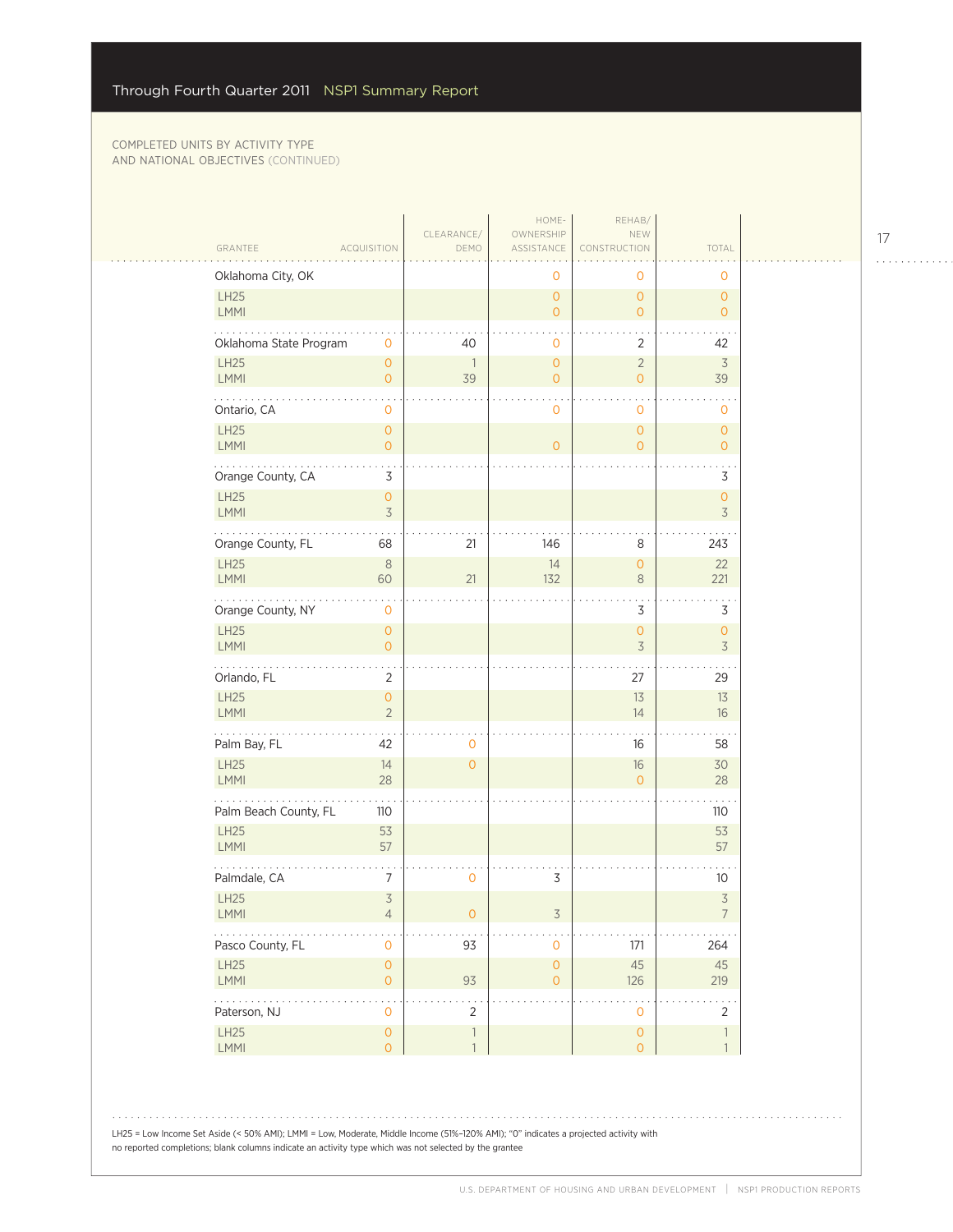$\sim$  . . . .

| GRANTEE<br><b>ACQUISITION</b><br>ASSISTANCE<br>DEMO<br>Oklahoma City, OK<br>LH25<br>LMMI<br>Oklahoma State Program<br>$\mathbf 0$<br>40<br>LH25<br>$\mathsf{O}\xspace$<br>$\mathbf{1}$<br><b>LMMI</b><br>$\overline{O}$<br>39<br>.<br>Ontario, CA<br>0<br>LH25<br>$\mathsf{O}\xspace$<br>LMMI<br>$\mathsf{O}\xspace$<br>Orange County, CA<br>3<br>LH25<br>$\mathsf{O}\xspace$<br>LMMI<br>$\overline{\mathcal{S}}$<br>Orange County, FL<br>68<br>21<br>LH25<br>$\,8\,$<br><b>LMMI</b><br>60<br>21<br>.<br>Orange County, NY<br>$\mathbf 0$<br>LH25<br>$\mathsf{O}\xspace$<br><b>LMMI</b><br>$\overline{O}$<br>$\ddotsc$<br>Orlando, FL<br>2 | CONSTRUCTION<br>0<br>0<br>$\mathsf{O}\xspace$<br>$\mathsf{O}\xspace$<br>$\overline{O}$<br>$\overline{O}$<br>0<br>$\overline{2}$<br>$\sqrt{2}$<br>$\overline{O}$<br>$\overline{O}$<br>$\overline{0}$<br>0<br>0<br>$\overline{0}$<br>$\overline{O}$<br>$\overline{O}$<br>146<br>8<br>14<br>$\mathbf 0$<br>132<br>$\,8\,$<br>3 | TOTAL<br>0<br>$\overline{O}$<br>$\overline{O}$<br>42<br>$\overline{3}$<br>39<br>0<br>$\overline{0}$<br>$\overline{O}$<br>3<br>$\mathbf{O}$<br>3<br>243<br>22<br>221 |
|--------------------------------------------------------------------------------------------------------------------------------------------------------------------------------------------------------------------------------------------------------------------------------------------------------------------------------------------------------------------------------------------------------------------------------------------------------------------------------------------------------------------------------------------------------------------------------------------------------------------------------------------|-----------------------------------------------------------------------------------------------------------------------------------------------------------------------------------------------------------------------------------------------------------------------------------------------------------------------------|---------------------------------------------------------------------------------------------------------------------------------------------------------------------|
|                                                                                                                                                                                                                                                                                                                                                                                                                                                                                                                                                                                                                                            |                                                                                                                                                                                                                                                                                                                             |                                                                                                                                                                     |
|                                                                                                                                                                                                                                                                                                                                                                                                                                                                                                                                                                                                                                            |                                                                                                                                                                                                                                                                                                                             |                                                                                                                                                                     |
|                                                                                                                                                                                                                                                                                                                                                                                                                                                                                                                                                                                                                                            |                                                                                                                                                                                                                                                                                                                             |                                                                                                                                                                     |
|                                                                                                                                                                                                                                                                                                                                                                                                                                                                                                                                                                                                                                            |                                                                                                                                                                                                                                                                                                                             |                                                                                                                                                                     |
|                                                                                                                                                                                                                                                                                                                                                                                                                                                                                                                                                                                                                                            |                                                                                                                                                                                                                                                                                                                             |                                                                                                                                                                     |
|                                                                                                                                                                                                                                                                                                                                                                                                                                                                                                                                                                                                                                            |                                                                                                                                                                                                                                                                                                                             |                                                                                                                                                                     |
|                                                                                                                                                                                                                                                                                                                                                                                                                                                                                                                                                                                                                                            |                                                                                                                                                                                                                                                                                                                             |                                                                                                                                                                     |
|                                                                                                                                                                                                                                                                                                                                                                                                                                                                                                                                                                                                                                            |                                                                                                                                                                                                                                                                                                                             |                                                                                                                                                                     |
|                                                                                                                                                                                                                                                                                                                                                                                                                                                                                                                                                                                                                                            |                                                                                                                                                                                                                                                                                                                             |                                                                                                                                                                     |
|                                                                                                                                                                                                                                                                                                                                                                                                                                                                                                                                                                                                                                            |                                                                                                                                                                                                                                                                                                                             |                                                                                                                                                                     |
|                                                                                                                                                                                                                                                                                                                                                                                                                                                                                                                                                                                                                                            |                                                                                                                                                                                                                                                                                                                             |                                                                                                                                                                     |
|                                                                                                                                                                                                                                                                                                                                                                                                                                                                                                                                                                                                                                            |                                                                                                                                                                                                                                                                                                                             | 3                                                                                                                                                                   |
|                                                                                                                                                                                                                                                                                                                                                                                                                                                                                                                                                                                                                                            | $\mathsf{O}\xspace$<br>$\overline{3}$                                                                                                                                                                                                                                                                                       | $\mathbf{O}$<br>$\overline{3}$                                                                                                                                      |
|                                                                                                                                                                                                                                                                                                                                                                                                                                                                                                                                                                                                                                            | 27                                                                                                                                                                                                                                                                                                                          | 29                                                                                                                                                                  |
| LH25<br>$\mathsf{O}\xspace$<br><b>LMMI</b><br>$\overline{2}$                                                                                                                                                                                                                                                                                                                                                                                                                                                                                                                                                                               | 13<br>14                                                                                                                                                                                                                                                                                                                    | 13<br>16                                                                                                                                                            |
| .<br>Palm Bay, FL<br>42<br>0                                                                                                                                                                                                                                                                                                                                                                                                                                                                                                                                                                                                               | 16                                                                                                                                                                                                                                                                                                                          | 58                                                                                                                                                                  |
| LH25<br>14<br>$\overline{0}$<br><b>LMMI</b><br>28                                                                                                                                                                                                                                                                                                                                                                                                                                                                                                                                                                                          | 16<br>$\overline{0}$                                                                                                                                                                                                                                                                                                        | 30<br>28                                                                                                                                                            |
| Palm Beach County, FL<br>110                                                                                                                                                                                                                                                                                                                                                                                                                                                                                                                                                                                                               |                                                                                                                                                                                                                                                                                                                             | 110                                                                                                                                                                 |
| <b>LH25</b><br>53<br>LMMI<br>57                                                                                                                                                                                                                                                                                                                                                                                                                                                                                                                                                                                                            |                                                                                                                                                                                                                                                                                                                             | 53<br>57                                                                                                                                                            |
| Palmdale, CA<br>7<br>0                                                                                                                                                                                                                                                                                                                                                                                                                                                                                                                                                                                                                     | 3                                                                                                                                                                                                                                                                                                                           | 10                                                                                                                                                                  |
| LH25<br>$\overline{\mathcal{S}}$<br>LMMI<br>4<br>0                                                                                                                                                                                                                                                                                                                                                                                                                                                                                                                                                                                         | 3                                                                                                                                                                                                                                                                                                                           | $\overline{\mathcal{S}}$                                                                                                                                            |
| Pasco County, FL<br>$\mathsf{O}\xspace$<br>93                                                                                                                                                                                                                                                                                                                                                                                                                                                                                                                                                                                              | 171<br>$\mathbf 0$                                                                                                                                                                                                                                                                                                          | 264                                                                                                                                                                 |
| LH25<br>$\mathsf{O}\xspace$<br>LMMI<br>93<br>$\mathsf{O}\xspace$                                                                                                                                                                                                                                                                                                                                                                                                                                                                                                                                                                           | $\mathsf{O}\xspace$<br>45<br>$\mathsf{O}\xspace$<br>126                                                                                                                                                                                                                                                                     | 45<br>219                                                                                                                                                           |
| المتحديد<br>ρ.,<br>Paterson, NJ<br>$\mathsf{O}\xspace$<br>$\overline{2}$                                                                                                                                                                                                                                                                                                                                                                                                                                                                                                                                                                   | $\mathsf{O}\xspace$                                                                                                                                                                                                                                                                                                         | $\overline{2}$                                                                                                                                                      |
| LH25<br>$\mathsf O$<br>$\overline{\phantom{a}}$<br>LMMI<br>$\overline{O}$<br>$\overline{1}$                                                                                                                                                                                                                                                                                                                                                                                                                                                                                                                                                | $\mathsf O$<br>$\overline{O}$                                                                                                                                                                                                                                                                                               | $\overline{\phantom{a}}$<br>$\mathbf{1}$                                                                                                                            |

17

. . . . . . . . . . . .

LH25 = Low Income Set Aside (< 50% AMI); LMMI = Low, Moderate, Middle Income (51%–120% AMI); "0" indicates a projected activity with no reported completions; blank columns indicate an activity type which was not selected by the grantee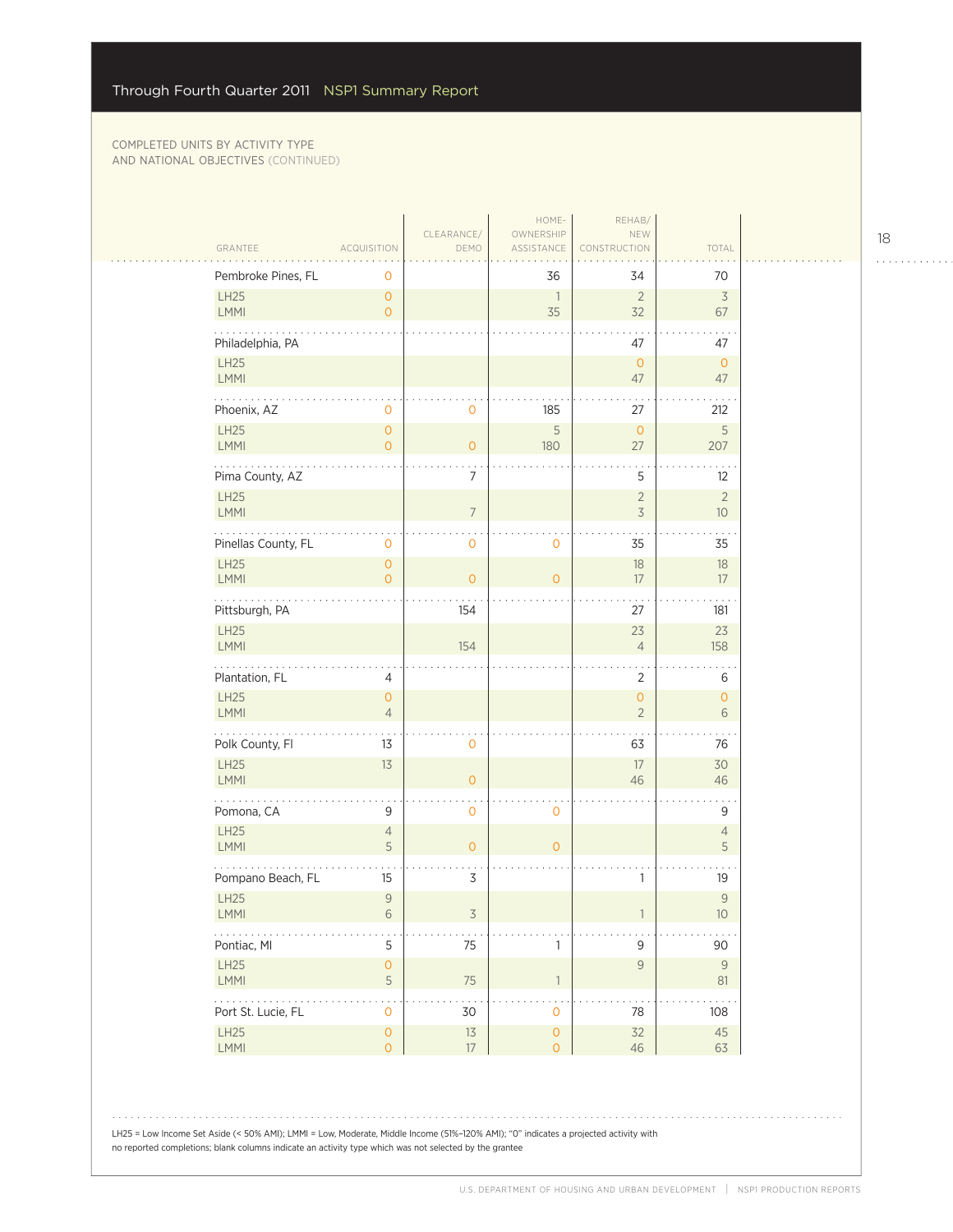| GRANTEE                                                                                        | <b>ACQUISITION</b>                          | CLEARANCE/<br>DEMO | HOME-<br>OWNERSHIP<br>ASSISTANCE      | REHAB/<br>NEW<br>CONSTRUCTION    | TOTAL                |
|------------------------------------------------------------------------------------------------|---------------------------------------------|--------------------|---------------------------------------|----------------------------------|----------------------|
| Pembroke Pines, FL                                                                             | 0                                           |                    | 36                                    | 34                               | 70                   |
| LH25<br>LMMI                                                                                   | $\overline{0}$<br>$\overline{0}$            |                    | $\overline{1}$<br>35                  | $\overline{2}$<br>32             | $\overline{3}$<br>67 |
| Philadelphia, PA                                                                               |                                             |                    |                                       | 47                               | $\sim$<br>47         |
| LH25<br>LMMI                                                                                   |                                             |                    |                                       | $\overline{0}$<br>47             | $\circ$<br>47        |
| Phoenix, AZ                                                                                    | 0                                           | $\circ$            | 185                                   | 27                               | 212                  |
| LH25<br><b>LMMI</b>                                                                            | $\mathsf{O}\xspace$<br>$\overline{O}$       | $\overline{O}$     | 5<br>180                              | $\mathbf{O}$<br>27               | $\mathsf S$<br>207   |
| Pima County, AZ                                                                                |                                             | 7                  |                                       | 5                                | 12                   |
| <b>LH25</b><br>LMMI                                                                            |                                             | $\overline{7}$     |                                       | $\overline{2}$<br>$\overline{3}$ | $\sqrt{2}$<br>$10$   |
| Pinellas County, FL                                                                            | 0                                           | 0                  | $\mathbf 0$                           | 35                               | $\sim$<br>35         |
| LH25<br>LMMI                                                                                   | $\mathsf{O}\xspace$<br>$\overline{0}$       | $\overline{O}$     | $\overline{0}$                        | $18\,$<br>17                     | $18\,$<br>17         |
| Pittsburgh, PA                                                                                 |                                             | 154                |                                       | 27                               | 181                  |
| LH25<br>LMMI                                                                                   |                                             | 154                |                                       | 23<br>$\overline{4}$             | 23<br>158            |
| Plantation, FL                                                                                 | 4                                           |                    |                                       | $\overline{2}$                   | 6                    |
| LH25<br>LMMI                                                                                   | $\overline{0}$<br>$\overline{4}$            |                    |                                       | $\mathsf O$<br>$\overline{2}$    | $\mathbf{O}$<br>6    |
| .<br>Polk County, Fl                                                                           | 13                                          | 0                  |                                       | 63                               | 76                   |
| LH25<br>LMMI                                                                                   | 13                                          | $\overline{O}$     |                                       | 17<br>46                         | 30<br>46             |
| Pomona, CA                                                                                     | 9                                           | 0                  | $\mathbf 0$                           |                                  | 9                    |
| <b>LH25</b><br><b>LMMI</b>                                                                     | $\sqrt{4}$<br>5                             | $\overline{O}$     | $\mathbf{O}$                          |                                  | $\sqrt{4}$<br>5      |
| Pompano Beach, FL                                                                              | 15                                          | $\mathsf 3$        |                                       | 1                                | 19                   |
| <b>LH25</b><br>LMMI                                                                            | $\mathcal{G}$<br>$6\,$                      | 3                  |                                       |                                  | $\mathsf{9}$<br>$10$ |
| $\ldots$<br>Pontiac, MI                                                                        | $\mathsf S$                                 | 75                 | $\mathbf{1}$                          | $\mathsf 9$                      | 90                   |
| LH25<br>LMMI                                                                                   | $\mathsf O$<br>$\mathsf S$                  | 75                 | $\mathbb{1}$                          | $\mathcal G$                     | $\mathcal{G}$<br>81  |
| $\mathbf{1}$ , $\mathbf{1}$ , $\mathbf{1}$ , $\mathbf{1}$ , $\mathbf{1}$<br>Port St. Lucie, FL | $\ddot{\phantom{a}}$<br>$\mathsf{O}\xspace$ | $30$               | $\mathsf{O}\xspace$                   | 78                               | 108                  |
| LH25<br>LMMI                                                                                   | $\mathsf O$<br>$\mathsf{O}\xspace$          | $13$<br>$17\,$     | $\mathsf{O}\xspace$<br>$\overline{O}$ | 32<br>46                         | 45<br>63             |

LH25 = Low Income Set Aside (< 50% AMI); LMMI = Low, Moderate, Middle Income (51%–120% AMI); "0" indicates a projected activity with no reported completions; blank columns indicate an activity type which was not selected by the grantee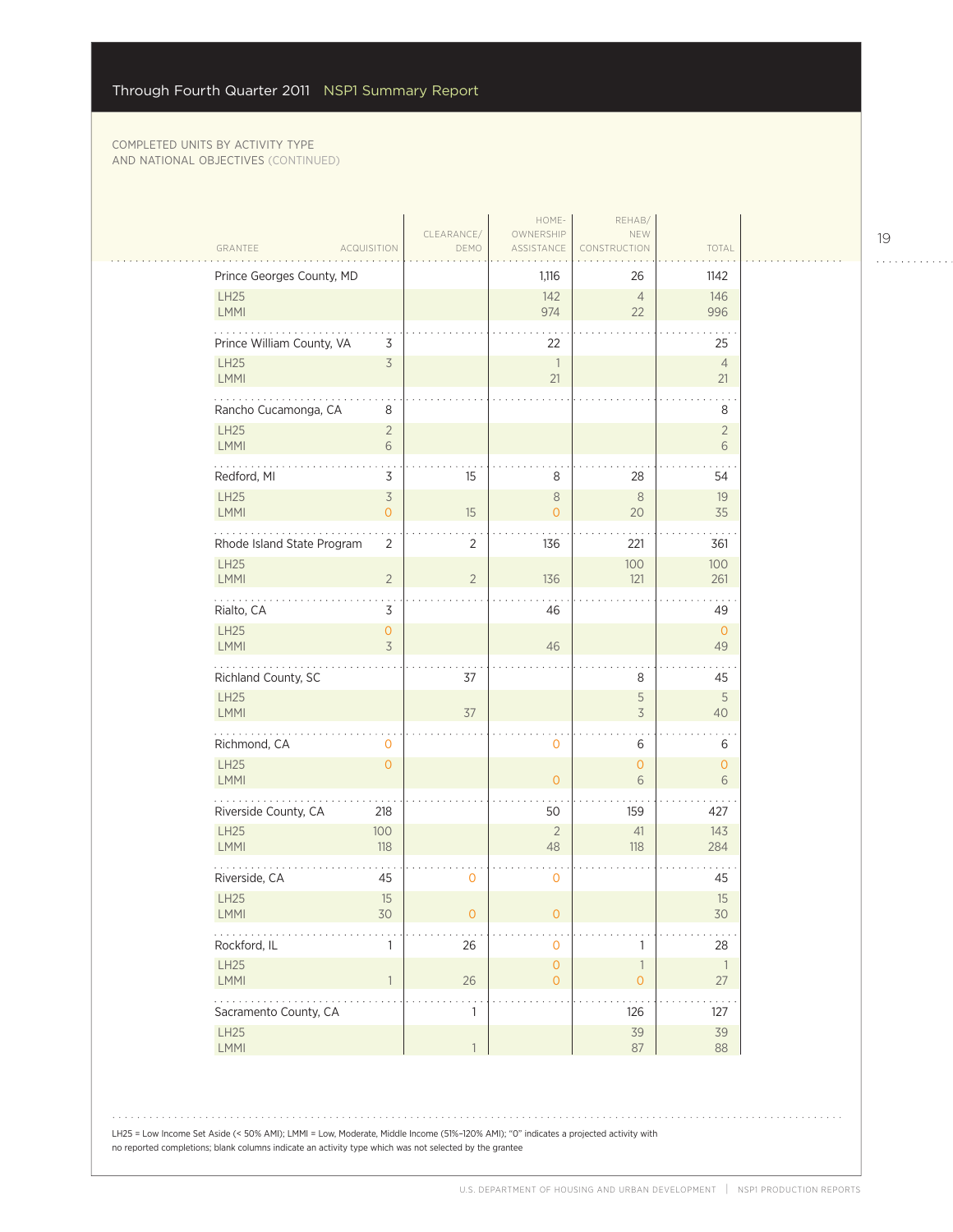| GRANTEE                    | <b>ACQUISITION</b>                         | CLEARANCE/<br>DEMO | HOME-<br>OWNERSHIP<br>ASSISTANCE           | REHAB/<br>NEW<br>CONSTRUCTION       | TOTAL                              |  |
|----------------------------|--------------------------------------------|--------------------|--------------------------------------------|-------------------------------------|------------------------------------|--|
| Prince Georges County, MD  |                                            |                    | 1,116                                      | 26                                  | 1142                               |  |
| LH25<br>LMMI               |                                            |                    | 142<br>974                                 | $\overline{4}$<br>22                | 146<br>996                         |  |
| Prince William County, VA  | 3                                          |                    | 22                                         |                                     | 25                                 |  |
| <b>LH25</b><br>LMMI        | $\overline{\mathcal{S}}$                   |                    | $\overline{\phantom{a}}$<br>21             |                                     | $\overline{4}$<br>21               |  |
| .<br>Rancho Cucamonga, CA  | 8                                          |                    |                                            |                                     | 8                                  |  |
| LH25<br>LMMI               | $\overline{2}$<br>6                        |                    |                                            |                                     | $\overline{2}$<br>6                |  |
| Redford, MI                | 3                                          | 15                 | 8                                          | 28                                  | 54                                 |  |
| LH25<br>LMMI               | $\overline{\mathcal{S}}$<br>$\overline{O}$ | 15                 | $\,8\,$<br>$\overline{O}$                  | $\,8\,$<br>20                       | 19<br>35                           |  |
| Rhode Island State Program | $\overline{2}$                             | 2                  | 136                                        | 221                                 | 361                                |  |
| LH25<br>LMMI               | $\overline{2}$                             | $\overline{2}$     | 136                                        | 100<br>121                          | 100<br>261                         |  |
| Rialto, CA                 | 3                                          |                    | 46                                         |                                     | 49                                 |  |
| LH25<br><b>LMMI</b>        | $\mathbf 0$<br>3                           |                    | 46                                         |                                     | $\overline{0}$<br>49               |  |
| Richland County, SC        |                                            | 37                 |                                            | 8                                   | 45                                 |  |
| LH25<br>LMMI               |                                            | 37                 |                                            | $\mathsf S$<br>$\overline{3}$       | 5<br>40                            |  |
| Richmond, CA               | 0                                          |                    | $\mathbf 0$                                | 6                                   | 6                                  |  |
| LH25<br><b>LMMI</b>        | $\overline{O}$                             |                    | $\overline{0}$                             | $\mathsf{O}\xspace$<br>6            | $\circ$<br>6                       |  |
| Riverside County, CA       | 218                                        |                    | 50                                         | 159                                 | 427                                |  |
| LH25<br>LMMI               | 100<br>118                                 |                    | $\overline{2}$<br>48                       | 41<br>118                           | 143<br>284                         |  |
| Riverside, CA              | 45                                         | 0                  | $\mathbf 0$                                |                                     | 45                                 |  |
| LH25<br>$\mathsf{LMMI}$    | 15<br>30                                   | $\sigma$           | O.                                         |                                     | 15<br>30                           |  |
| Rockford, IL               | 1                                          | 26                 | $\mathsf{O}\xspace$                        | 1                                   | 28                                 |  |
| LH25<br>LMMI               | $\overline{1}$                             | $26\,$             | $\mathsf{O}\xspace$<br>$\mathsf{O}\xspace$ | $\mathbb{1}$<br>$\mathsf{O}\xspace$ | $\overline{\phantom{a}}$<br>$27\,$ |  |
| Sacramento County, CA      |                                            | 1                  |                                            | 126                                 | 127                                |  |
| LH25<br>LMMI               |                                            | $\mathbf{1}$       |                                            | 39<br>87                            | 39<br>88                           |  |

LH25 = Low Income Set Aside (< 50% AMI); LMMI = Low, Moderate, Middle Income (51%–120% AMI); "0" indicates a projected activity with no reported completions; blank columns indicate an activity type which was not selected by the grantee

19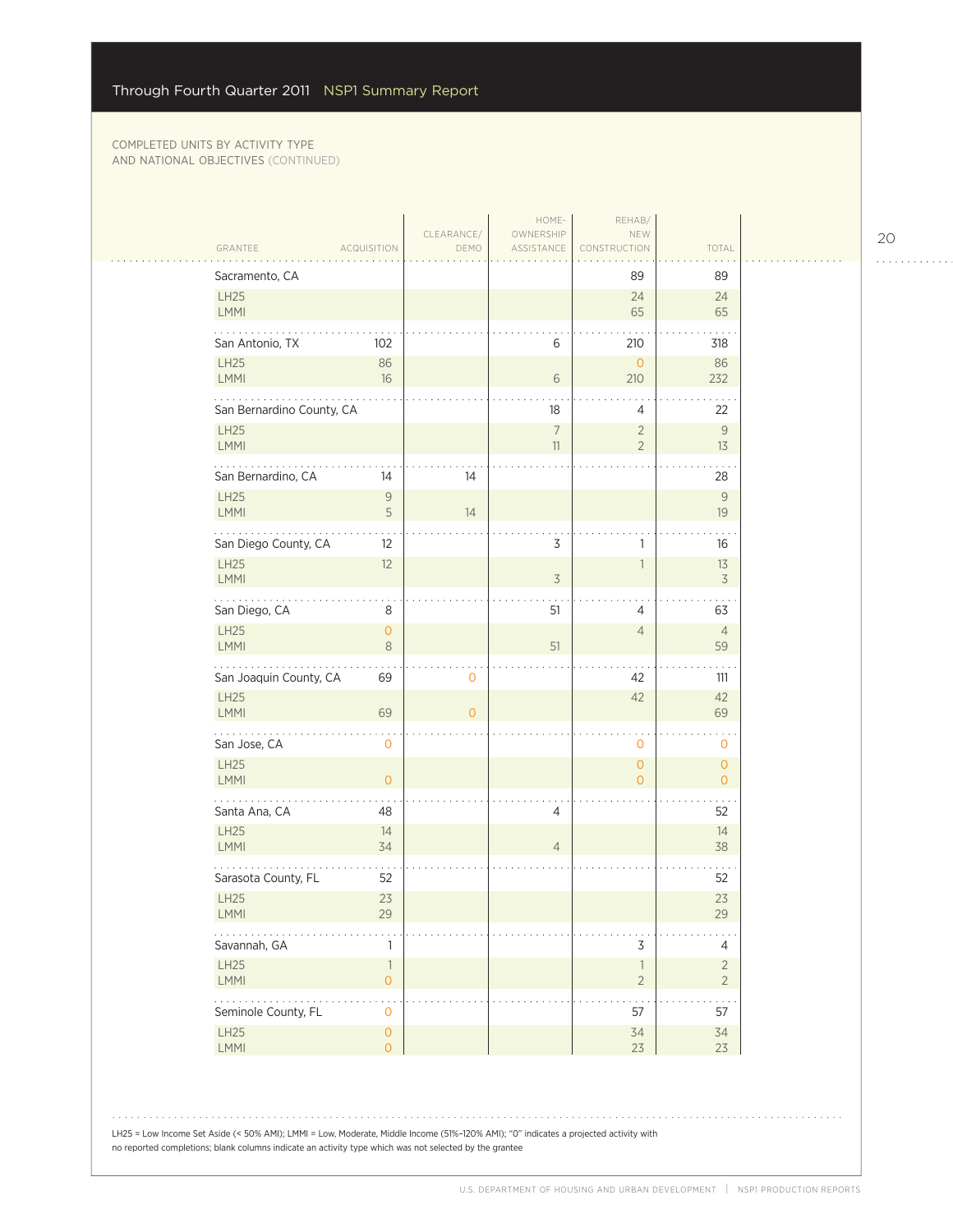$\sim$  . .

|                                                              | CLEARANCE/     | HOME-<br>OWNERSHIP       | REHAB/<br>NEW                              |                                  |
|--------------------------------------------------------------|----------------|--------------------------|--------------------------------------------|----------------------------------|
| GRANTEE<br><b>ACQUISITION</b>                                | DEMO           | ASSISTANCE               | CONSTRUCTION                               | TOTAL                            |
| Sacramento, CA                                               |                |                          | 89                                         | 89                               |
| LH25<br>LMMI                                                 |                |                          | 24<br>65                                   | 24<br>65                         |
| San Antonio, TX<br>102                                       |                | 6                        | 210                                        | 318                              |
| LH25<br>86<br><b>LMMI</b><br>16                              |                | 6                        | $\mathbf{O}$<br>210                        | 86<br>232                        |
| San Bernardino County, CA                                    |                | 18                       | 4                                          | 22                               |
| <b>LH25</b><br><b>LMMI</b>                                   |                | $\overline{7}$<br>$11\,$ | $\overline{2}$<br>$\overline{2}$           | 9<br>13                          |
| San Bernardino, CA<br>14                                     | 14             |                          |                                            | 28                               |
| <b>LH25</b><br>$\overline{9}$<br><b>LMMI</b><br>5            | 14             |                          |                                            | $\mathsf{9}$<br>19               |
| San Diego County, CA<br>12                                   |                | 3                        | 1                                          | 16                               |
| <b>LH25</b><br>12<br><b>LMMI</b>                             |                | $\mathfrak{Z}$           | 1                                          | 13<br>3                          |
| .<br>San Diego, CA<br>8                                      |                | 51                       | 4                                          | 63                               |
| <b>LH25</b><br>$\mathsf{O}\xspace$<br><b>LMMI</b><br>$\,8\,$ |                | 51                       | $\overline{4}$                             | $\overline{4}$<br>59             |
| San Joaquin County, CA<br>69                                 | 0              |                          | 42                                         | 111                              |
| LH25<br><b>LMMI</b><br>69                                    | $\overline{0}$ |                          | 42                                         | 42<br>69                         |
| .<br>San Jose, CA<br>$\mathbf 0$                             |                |                          | 0                                          | 0                                |
| LH25<br><b>LMMI</b><br>$\circ$                               |                |                          | $\overline{0}$<br>$\overline{O}$           | $\overline{O}$<br>$\overline{O}$ |
| Santa Ana, CA<br>48                                          |                | $\overline{4}$           |                                            | 52                               |
| LH25<br>14<br>LMMI<br>34                                     |                | $\sqrt{4}$               |                                            | 14<br>38                         |
| Sarasota County, FL<br>52                                    |                |                          |                                            | 52                               |
| LH25<br>23<br><b>LMMI</b><br>29                              |                |                          |                                            | 23<br>29                         |
| Savannah, GA<br>1                                            |                |                          | 3                                          | 4                                |
| LH25<br>$\overline{1}$<br>LMMI<br>$\mathsf{O}\xspace$        |                |                          | $\overline{\phantom{a}}$<br>$\overline{2}$ | $\overline{2}$<br>$\overline{2}$ |
| .<br>Seminole County, FL<br>$\mathbf{O}$                     |                |                          | 57                                         | 57                               |
| LH25<br>$\mathsf{O}\xspace$                                  |                |                          | 34<br>23                                   | 34<br>23                         |

20

. . . . . . . . . . . .

LH25 = Low Income Set Aside (< 50% AMI); LMMI = Low, Moderate, Middle Income (51%–120% AMI); "0" indicates a projected activity with no reported completions; blank columns indicate an activity type which was not selected by the grantee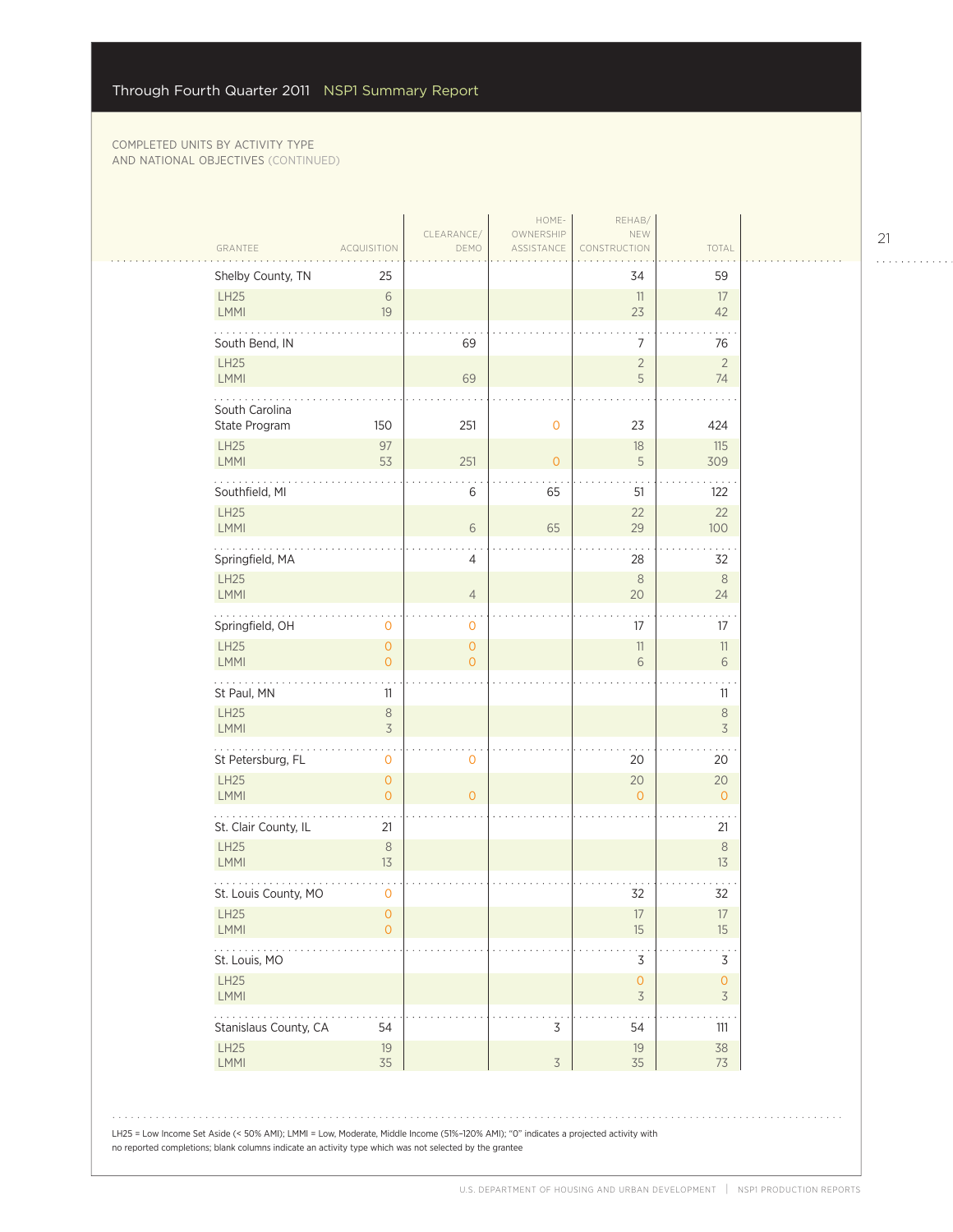| GRANTEE                         | ACQUISITION                         | CLEARANCE/<br>DEMO            | HOME-<br>OWNERSHIP<br>ASSISTANCE | REHAB/<br>NEW<br>CONSTRUCTION                   | TOTAL                  |
|---------------------------------|-------------------------------------|-------------------------------|----------------------------------|-------------------------------------------------|------------------------|
| Shelby County, TN               | 25                                  |                               |                                  | 34                                              | 59                     |
| LH25<br>LMMI                    | 6<br>19                             |                               |                                  | 11<br>23                                        | 17<br>42               |
| South Bend, IN                  |                                     | 69                            |                                  | 7                                               | 76                     |
| LH25                            |                                     | 69                            |                                  | $\overline{2}$<br>5                             | $\overline{2}$         |
| LMMI                            |                                     |                               |                                  |                                                 | 74                     |
| South Carolina<br>State Program | 150                                 | 251                           | 0                                | 23                                              | 424                    |
| LH25<br>LMMI                    | 97<br>53                            | 251                           | $\overline{0}$                   | 18<br>5                                         | 115<br>309             |
| Southfield, MI                  |                                     | 6                             | 65                               | 51                                              | 122                    |
| LH25<br>LMMI                    |                                     | $\sqrt{6}$                    | 65                               | 22<br>29                                        | 22<br>100              |
| Springfield, MA                 |                                     | 4                             |                                  | 28                                              | 32                     |
| <b>LH25</b><br>LMMI             |                                     | $\overline{4}$                |                                  | $\,8\,$<br>20                                   | $\,8\,$<br>24          |
| Springfield, OH                 | 0                                   | 0                             |                                  | 17                                              | 17                     |
| <b>LH25</b><br>LMMI             | $\overline{0}$<br>$\mathbf{O}$      | $\overline{O}$<br>$\mathbf 0$ |                                  | 11<br>6                                         | 11<br>6                |
| St Paul, MN                     | 11                                  |                               |                                  |                                                 | 11                     |
| LH25<br>LMMI                    | $\,8\,$<br>$\overline{\mathcal{S}}$ |                               |                                  |                                                 | $\,8\,$<br>$\preceq$   |
| 2020au<br>St Petersburg, FL     | 0                                   | 0                             |                                  | 20                                              | 20                     |
| LH25<br>LMMI                    | $\overline{O}$<br>$\overline{O}$    | $\overline{0}$                |                                  | 20<br>$\Omega$                                  | 20<br>$\overline{O}$   |
| St. Clair County, IL            | 21                                  |                               |                                  |                                                 | 21                     |
| <b>LH25</b><br>LMMI             | $\,8\,$<br>13                       |                               |                                  |                                                 | $8\phantom{1}$<br>$13$ |
| St. Louis County, MO            | 0                                   |                               |                                  | 32                                              | 32                     |
| LH25<br><b>LMMI</b>             | 0<br>$\overline{O}$                 |                               |                                  | $17\,$<br>15                                    | 17<br>15               |
| St. Louis, MO                   |                                     |                               |                                  | 3                                               | 3                      |
| LH25<br>LMMI                    |                                     |                               |                                  | $\mathsf{O}\xspace$<br>$\overline{\mathcal{S}}$ | 0<br>$\overline{3}$    |
| Stanislaus County, CA           | 54                                  |                               | $\mathsf 3$                      | 54                                              | 111                    |
| <b>LH25</b><br>LMMI             | 19<br>35                            |                               | $\overline{\mathcal{S}}$         | 19<br>35                                        | 38<br>73               |

21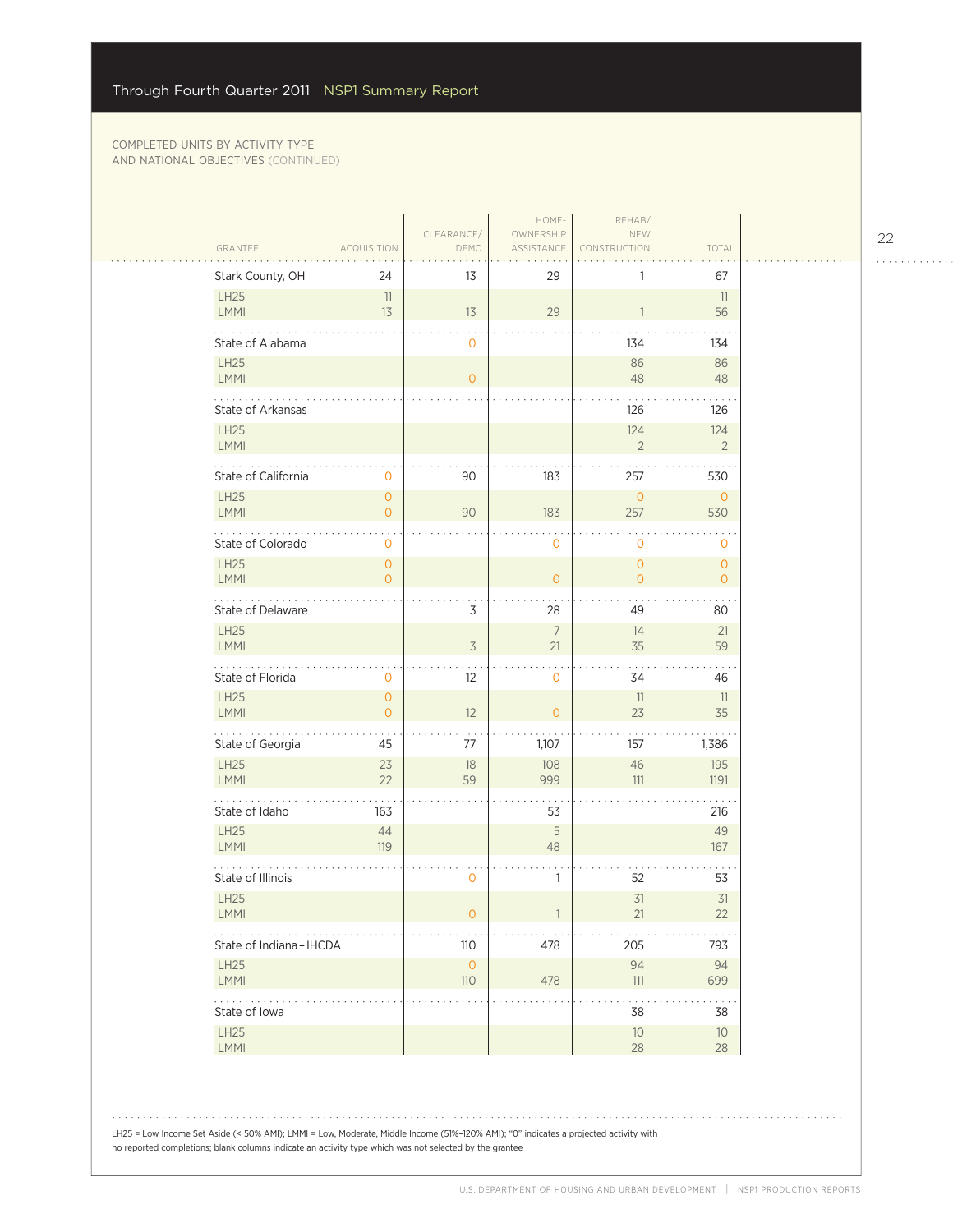| GRANTEE                     | <b>ACQUISITION</b>        | CLEARANCE/<br>DEMO         | HOME-<br>OWNERSHIP<br>ASSISTANCE | REHAB/<br>NEW<br>CONSTRUCTION | TOTAL                          |
|-----------------------------|---------------------------|----------------------------|----------------------------------|-------------------------------|--------------------------------|
| Stark County, OH            | 24                        | 13                         | 29                               | 1                             | 67                             |
| <b>LH25</b><br><b>LMMI</b>  | 11<br>13                  | 13                         | 29                               | $\overline{1}$                | 11<br>56                       |
| State of Alabama            |                           | 0                          |                                  | 134                           | 134                            |
| <b>LH25</b><br>LMMI         |                           | $\overline{O}$             |                                  | 86<br>48                      | 86<br>48                       |
| .<br>State of Arkansas      |                           |                            |                                  | 126                           | 126                            |
| <b>LH25</b><br>LMMI         |                           |                            |                                  | 124<br>$\overline{2}$         | 124<br>$\overline{2}$          |
| State of California         | 0                         | 90                         | 183                              | 257                           | 530                            |
| <b>LH25</b><br>LMMI         | $\overline{O}$<br>0       | 90                         | 183                              | $\overline{0}$<br>257         | $\overline{0}$<br>530          |
| State of Colorado           | 0                         |                            | $\mathbf 0$                      | $\mathbf 0$                   | 0                              |
| <b>LH25</b><br>LMMI         | 0<br>$\overline{O}$       |                            | $\overline{0}$                   | $\mathbf{O}$<br>$\mathbf{O}$  | $\mathbf{O}$<br>$\overline{O}$ |
| 2020au<br>State of Delaware |                           | 3                          | 28                               | 49                            | $\ddotsc$<br>80                |
| <b>LH25</b><br>LMMI         |                           | $\overline{3}$             | $7\overline{ }$<br>21            | 14<br>35                      | 21<br>59                       |
| State of Florida            | 0                         | $12 \overline{ }$          | $\mathbf 0$                      | 34                            | 46                             |
| <b>LH25</b><br><b>LMMI</b>  | $\circ$<br>$\overline{O}$ | 12                         | $\overline{0}$                   | 11<br>23                      | 11<br>35                       |
| .<br>State of Georgia       | 45                        | 77                         | 1,107                            | 157                           | 1,386                          |
| LH25<br><b>LMMI</b>         | 23<br>22                  | 18<br>59                   | 108<br>999                       | 46<br>111                     | 195<br>1191                    |
| State of Idaho              | 163                       |                            | 53                               |                               | 216                            |
| <b>LH25</b><br>LMMI         | 44<br>119                 |                            | 5<br>48                          |                               | 49<br>167                      |
| State of Illinois           |                           | 0                          | 1                                | 52                            | 53                             |
| <b>LH25</b><br><b>LMMI</b>  |                           | 0                          |                                  | 31<br>21                      | 31<br>22                       |
| State of Indiana-IHCDA      |                           | 110                        | 478                              | 205                           | 793                            |
| <b>LH25</b><br>LMMI         |                           | $\mathsf{O}\xspace$<br>110 | 478                              | 94<br>111                     | 94<br>699                      |
| .<br>State of Iowa          |                           |                            |                                  | 38                            | 38                             |
| LH25<br>LMMI                |                           |                            |                                  | $10\,$<br>28                  | 10 <sup>°</sup><br>28          |

LH25 = Low Income Set Aside (< 50% AMI); LMMI = Low, Moderate, Middle Income (51%–120% AMI); "0" indicates a projected activity with no reported completions; blank columns indicate an activity type which was not selected by the grantee

22

. . . . . . . . . . . .

 $1.1.1.1.1.1.1.1.1$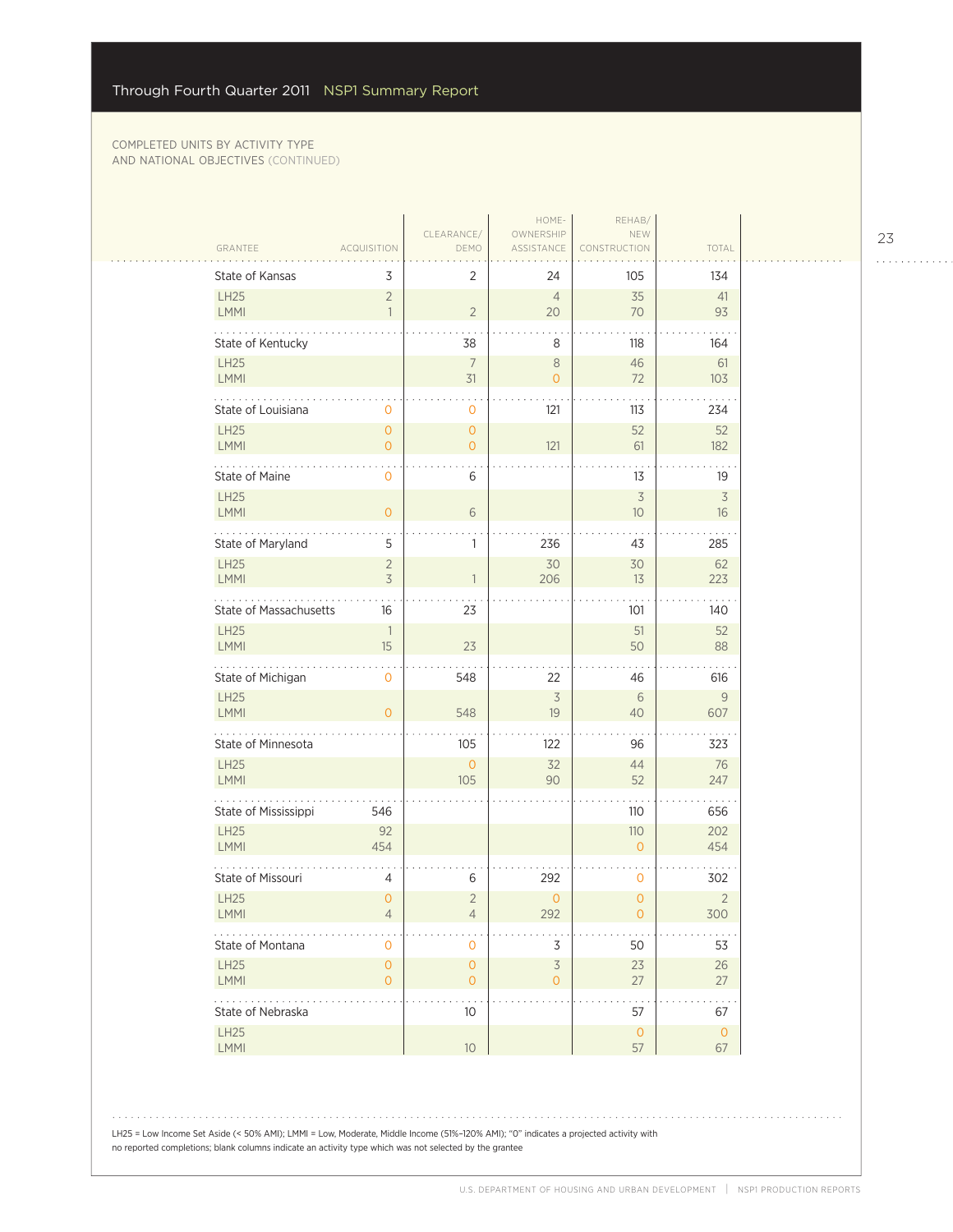$\sim$  .

|                            |                                  |                                       | HOME-                                      | REHAB/                         |                       |
|----------------------------|----------------------------------|---------------------------------------|--------------------------------------------|--------------------------------|-----------------------|
| GRANTEE                    | <b>ACQUISITION</b>               | CLEARANCE/<br>DEMO                    | OWNERSHIP<br>ASSISTANCE                    | NEW<br><b>RUCTION</b>          | TOTAL                 |
| State of Kansas            | 3                                | $\overline{2}$                        | 24                                         | 105                            | 134                   |
| <b>LH25</b><br>LMMI        | $\overline{2}$<br>$\mathbf{1}$   | $\overline{2}$                        | $\overline{4}$<br>20                       | 35<br>70                       | 41<br>93              |
| State of Kentucky          |                                  | 38                                    | 8                                          | 118                            | 164                   |
| LH25<br>LMMI               |                                  | $\overline{7}$<br>31                  | $\,8\,$<br>$\overline{O}$                  | 46<br>72                       | 61<br>103             |
| State of Louisiana         | 0                                | $\mathbf{0}$                          | 121                                        | 113                            | 234                   |
| <b>LH25</b><br><b>LMMI</b> | $\overline{0}$<br>$\overline{O}$ | $\mathsf{O}\xspace$<br>$\overline{O}$ | 121                                        | 52<br>61                       | 52<br>182             |
| State of Maine             | $\mathbf{O}$                     | 6                                     |                                            | 13                             | 19                    |
| <b>LH25</b><br>LMMI        | $\overline{O}$                   | 6                                     |                                            | $\overline{\mathcal{S}}$<br>10 | $\overline{3}$<br>16  |
| State of Maryland          | 5                                | $\mathbf{1}$                          | 236                                        | 43                             | 285                   |
| LH25                       | $\overline{2}$                   |                                       | 30                                         | 30                             | 62                    |
| <b>LMMI</b>                | $\overline{3}$                   | $\overline{1}$                        | 206                                        | 13                             | 223                   |
| State of Massachusetts     | 16                               | 23                                    |                                            | 101                            | 140                   |
| <b>LH25</b><br>LMMI        | $\overline{\phantom{a}}$<br>15   | 23                                    |                                            | 51<br>50                       | 52<br>88              |
| State of Michigan          | $\mathbf 0$                      | 548                                   | 22                                         | 46                             | 616                   |
| <b>LH25</b><br>LMMI        | $\Omega$                         | 548                                   | $\overline{\mathcal{S}}$<br>19             | 6<br>40                        | 9<br>607              |
| .<br>State of Minnesota    |                                  | 105                                   | 122                                        | 96                             | 323                   |
| LH25<br><b>LMMI</b>        |                                  | $\overline{0}$<br>105                 | 32<br>90                                   | 44<br>52                       | 76<br>247             |
| State of Mississippi       | 546                              |                                       |                                            | 110                            | 656                   |
| <b>LH25</b><br>LMMI        | 92<br>454                        |                                       |                                            | 110<br>$\overline{O}$          | 202<br>454            |
| State of Missouri          | 4                                | $\,$ 6 $\,$                           | 292                                        | 0                              | 302                   |
| <b>LH25</b><br><b>LMMI</b> | $\overline{0}$<br>4              | $\overline{2}$<br>4                   | $\overline{O}$<br>292                      | $\overline{0}$<br>0            | $\overline{2}$<br>300 |
| State of Montana           | 0                                | $\mathbf 0$                           | 3                                          | 50                             | 53                    |
| <b>LH25</b><br>LMMI        | $\overline{O}$<br>$\overline{0}$ | $\mathsf{O}\xspace$<br>$\circ$        | $\overline{\mathcal{S}}$<br>$\overline{O}$ | 23<br>27                       | 26<br>27              |
| State of Nebraska          |                                  | . .<br>10 <sup>°</sup>                |                                            | 57                             | 67                    |
| <b>LH25</b><br>LMMI        |                                  | 10 <sup>°</sup>                       |                                            | $\mathsf{O}$<br>57             | $\circ$<br>67         |
|                            |                                  |                                       |                                            |                                |                       |

LH25 = Low Income Set Aside (< 50% AMI); LMMI = Low, Moderate, Middle Income (51%–120% AMI); "0" indicates a projected activity with no reported completions; blank columns indicate an activity type which was not selected by the grantee

23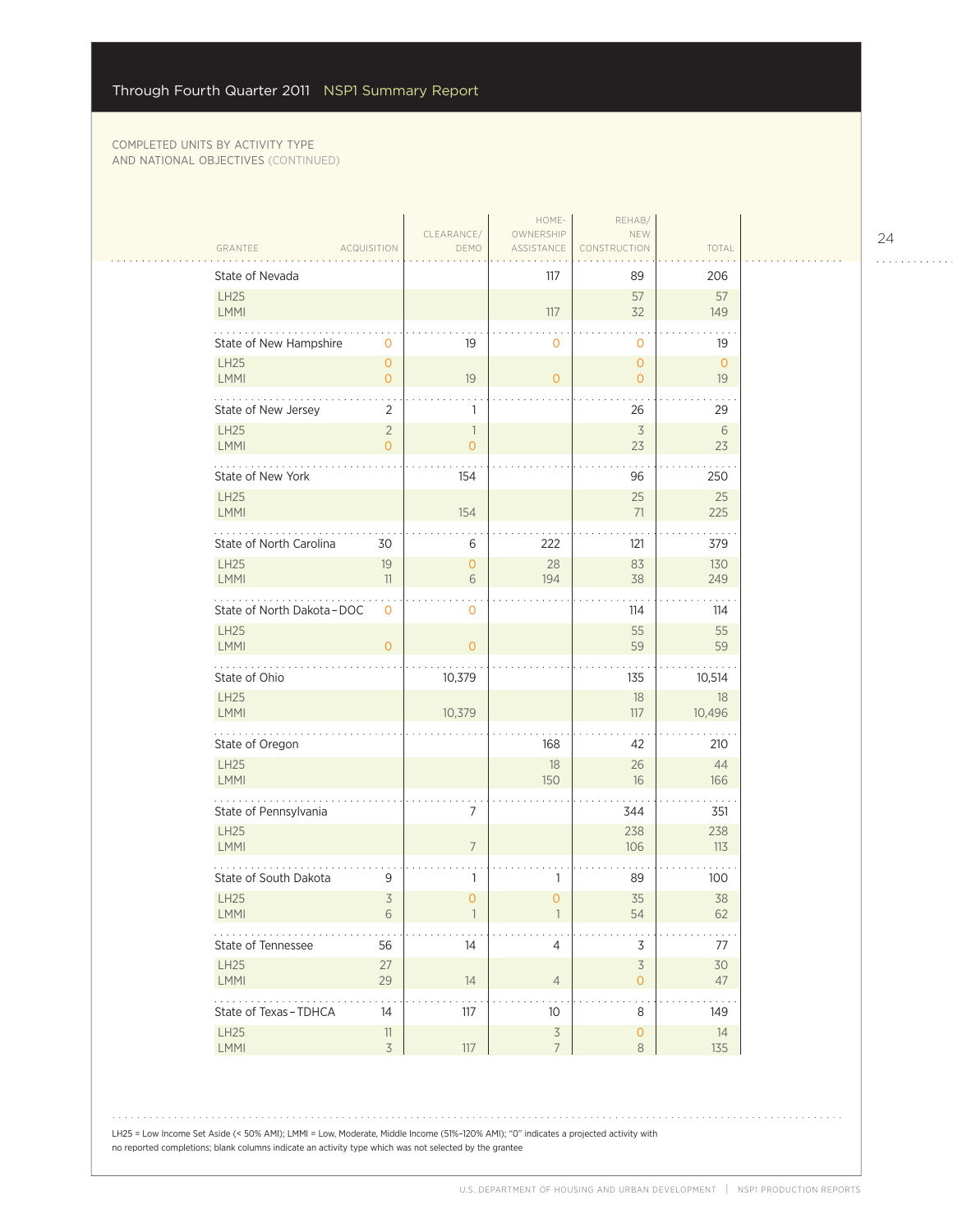|                             |                                  |                                | HOME-                            | REHAB/                         |                      |
|-----------------------------|----------------------------------|--------------------------------|----------------------------------|--------------------------------|----------------------|
| GRANTEE                     | <b>ACQUISITION</b>               | CLEARANCE/<br>DEMO             | OWNERSHIP<br>ASSISTANCE          | NEW<br>NSTRUCTION              | TOTAL                |
| State of Nevada             |                                  |                                | 117                              | 89                             | 206                  |
| <b>LH25</b><br>LMMI         |                                  |                                | 117                              | 57<br>32                       | 57<br>149            |
| State of New Hampshire      | $\mathbf 0$                      | 19                             | 0                                | $\mathbf{O}$                   | $\sim$<br>19         |
| <b>LH25</b><br>LMMI         | $\overline{O}$<br>$\overline{O}$ | 19                             | $\overline{O}$                   | $\circ$<br>$\circ$             | $\circ$<br>19        |
| .<br>State of New Jersey    | 2                                | 1                              |                                  | 26                             | 29                   |
| <b>LH25</b><br>LMMI         | $\overline{2}$<br>$\Omega$       | $\mathbf{1}$<br>$\overline{0}$ |                                  | $\overline{3}$<br>23           | 6<br>23              |
| State of New York           |                                  | 154                            |                                  | 96                             | 250                  |
| <b>LH25</b><br>LMMI         |                                  | 154                            |                                  | 25<br>71                       | 25<br>225            |
| State of North Carolina     | 30                               | 6                              | 222                              | 121                            | 379                  |
| <b>LH25</b><br>LMMI         | 19<br>11                         | $\mathbf 0$<br>6               | 28<br>194                        | 83<br>38                       | 130<br>249           |
| State of North Dakota - DOC | 0                                | $\mathbf 0$                    |                                  | 114                            | 114                  |
| <b>LH25</b><br><b>LMMI</b>  | $\Omega$                         | $\overline{O}$                 |                                  | 55<br>59                       | 55<br>59             |
| State of Ohio               |                                  | 10,379                         |                                  | 135                            | 10,514               |
| LH25<br>LMMI                |                                  | 10,379                         |                                  | 18<br>117                      | 18<br>10,496         |
| .<br>State of Oregon        |                                  |                                | 168                              | 42                             | 210                  |
| LH25<br><b>LMMI</b>         |                                  |                                | $18\,$<br>150                    | 26<br>16                       | 44<br>166            |
| State of Pennsylvania       |                                  | 7                              |                                  | 344                            | 351                  |
| <b>LH25</b><br>LMMI         |                                  | $\overline{7}$                 |                                  | 238<br>106                     | 238<br>113           |
| State of South Dakota       | 9                                | 1                              | 1                                | 89                             | 100                  |
| <b>LH25</b><br>LMMI         | $\overline{3}$<br>6              | $\overline{0}$                 | $\mathbf{0}$                     | 35<br>54                       | 38<br>62             |
| .<br>State of Tennessee     | 56                               | 14                             | 4                                | $\mathsf 3$                    | 77                   |
| LH25<br>LMMI                | 27<br>29                         | 14                             | $\overline{4}$                   | $\mathsf 3$<br>$\circ$         | 30<br>47             |
| .<br>State of Texas-TDHCA   | 14                               | 117                            | 10                               | $\bullet$<br>8                 | $\sim$ $\sim$<br>149 |
| LH25<br>LMMI                | $11\,$<br>$\overline{3}$         | 117                            | $\overline{3}$<br>$\overline{7}$ | $\mathsf{O}\xspace$<br>$\,8\,$ | 14<br>135            |
|                             |                                  |                                |                                  |                                |                      |

LH25 = Low Income Set Aside (< 50% AMI); LMMI = Low, Moderate, Middle Income (51%–120% AMI); "0" indicates a projected activity with no reported completions; blank columns indicate an activity type which was not selected by the grantee

24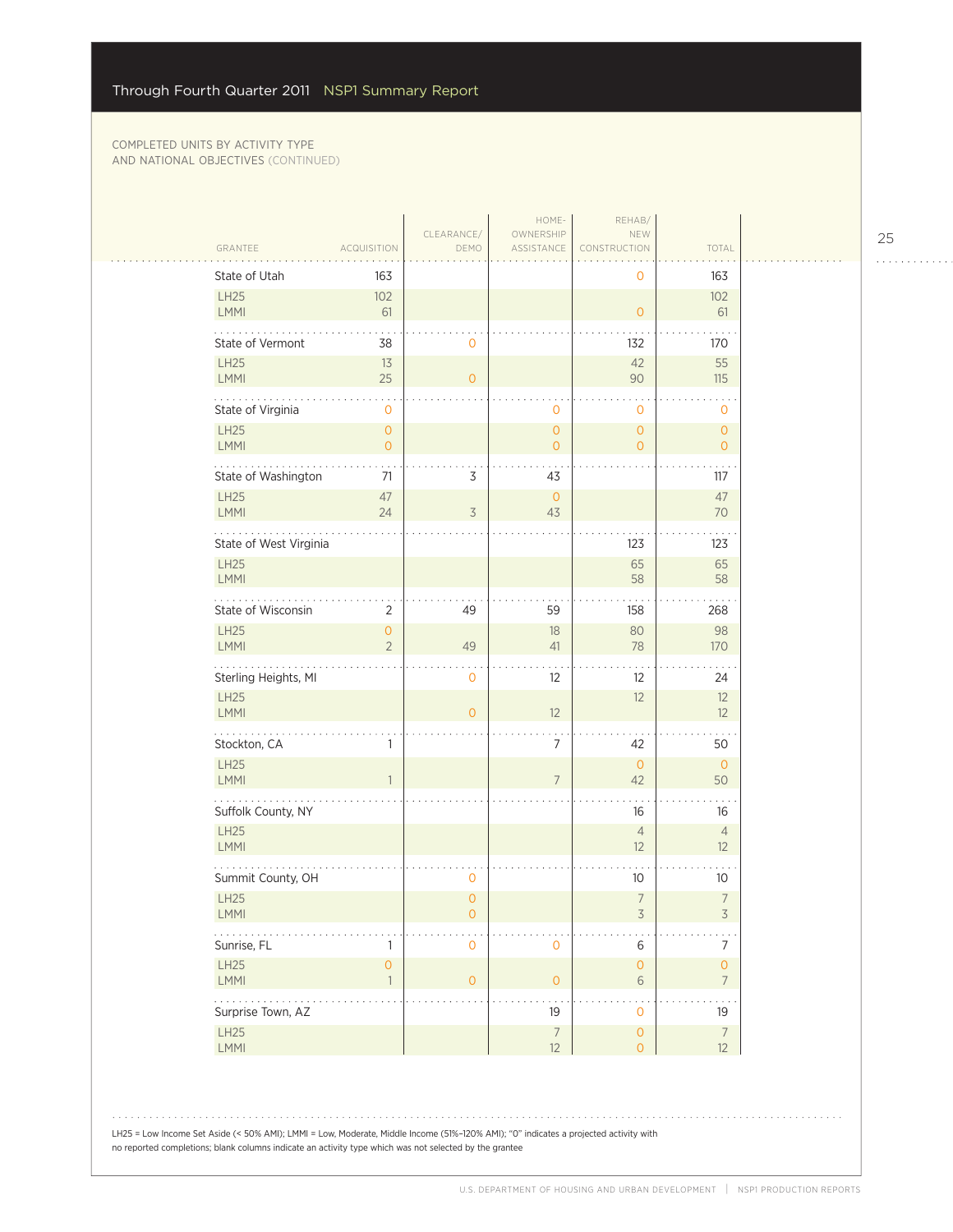$\mathbb{R}$ 

|                                     |                                     |                                       | HOME-                   | REHAB/                                |                                                 |
|-------------------------------------|-------------------------------------|---------------------------------------|-------------------------|---------------------------------------|-------------------------------------------------|
| GRANTEE                             | <b>ACQUISITION</b>                  | CLEARANCE/<br>DEMO                    | OWNERSHIP<br>ASSISTANCE | NEW<br>CONSTRUCTION                   | TOTAL                                           |
| State of Utah                       | 163                                 |                                       |                         | 0                                     | 163                                             |
| <b>LH25</b><br><b>LMMI</b>          | 102<br>61                           |                                       |                         | $\mathbf{O}$                          | 102<br>61                                       |
| State of Vermont                    | 38                                  | $\mathbf 0$                           |                         | 132                                   | 170                                             |
| <b>LH25</b><br>LMMI                 | 13<br>25                            | $\mathbf{O}$                          |                         | 42<br>90                              | 55<br>115                                       |
| State of Virginia                   | $\mathbf 0$                         |                                       | $\mathbf 0$             | $\mathbf 0$                           | $\mathbf 0$                                     |
| <b>LH25</b>                         | $\circ$                             |                                       | $\overline{O}$          | $\overline{O}$                        | $\mathbf{O}$                                    |
| <b>LMMI</b>                         | $\overline{O}$                      |                                       | $\mathbf{O}$            | $\overline{0}$                        | $\overline{O}$                                  |
| State of Washington                 | 71                                  | 3                                     | 43                      |                                       | 117                                             |
| <b>LH25</b><br>LMMI                 | 47<br>24                            | $\overline{\mathcal{S}}$              | $\circ$<br>43           |                                       | 47<br>70                                        |
| State of West Virginia              |                                     |                                       |                         | 123                                   | 123                                             |
| <b>LH25</b><br>LMMI                 |                                     |                                       |                         | 65<br>58                              | 65<br>58                                        |
| State of Wisconsin                  | $\overline{2}$                      | 49                                    | 59                      | 158                                   | 268                                             |
| <b>LH25</b><br>LMMI                 | $\overline{O}$<br>$\overline{2}$    | 49                                    | 18<br>41                | 80<br>78                              | 98<br>170                                       |
| Sterling Heights, MI                |                                     | $\mathbf 0$                           | 12                      | 12                                    | 24                                              |
| <b>LH25</b><br><b>LMMI</b>          |                                     | $\overline{O}$                        | 12                      | 12                                    | 12<br>12                                        |
| Stockton, CA                        | 1                                   |                                       | 7                       | 42                                    | 50                                              |
| LH25<br><b>LMMI</b>                 | $\mathbf{1}$                        |                                       | $\overline{7}$          | $\overline{0}$<br>42                  | $\mathsf{O}\xspace$<br>50                       |
| Suffolk County, NY                  |                                     |                                       |                         | 16                                    | 16                                              |
| <b>LH25</b><br>LMMI                 |                                     |                                       |                         | $\overline{4}$<br>12                  | $\overline{4}$<br>12                            |
| Summit County, OH                   |                                     | 0                                     |                         | 10                                    | 10 <sup>°</sup>                                 |
| <b>LH25</b><br>LMMI                 |                                     | $\overline{0}$<br>$\mathsf{O}\xspace$ |                         | $\overline{7}$<br>$\overline{3}$      | $\overline{\phantom{a}}$<br>3                   |
| $\sim$ $\sim$ $\sim$<br>Sunrise, FL | 1                                   | $\mathsf{O}\xspace$                   | $\mathsf{O}\xspace$     | $\,$ 6 $\,$                           | $\boldsymbol{7}$                                |
| LH25<br>LMMI                        | $\mathsf{O}\xspace$<br>$\mathbf{1}$ | $\mathsf{O}\xspace$                   | $\mathsf{O}\xspace$     | $\mathsf{O}\xspace$<br>$\sqrt{6}$     | $\mathsf{O}\xspace$<br>$\overline{\mathcal{I}}$ |
| 1.1.1.1.1<br>Surprise Town, AZ      |                                     |                                       | 19                      | $\mathsf{O}\xspace$                   | $\ddotsc$<br>19                                 |
| <b>LH25</b><br>LMMI                 |                                     |                                       | $\overline{7}$<br>12    | $\mathsf{O}\xspace$<br>$\overline{O}$ | $\boldsymbol{7}$<br>12                          |

LH25 = Low Income Set Aside (< 50% AMI); LMMI = Low, Moderate, Middle Income (51%–120% AMI); "0" indicates a projected activity with no reported completions; blank columns indicate an activity type which was not selected by the grantee

25

. . . . . . . . . . . .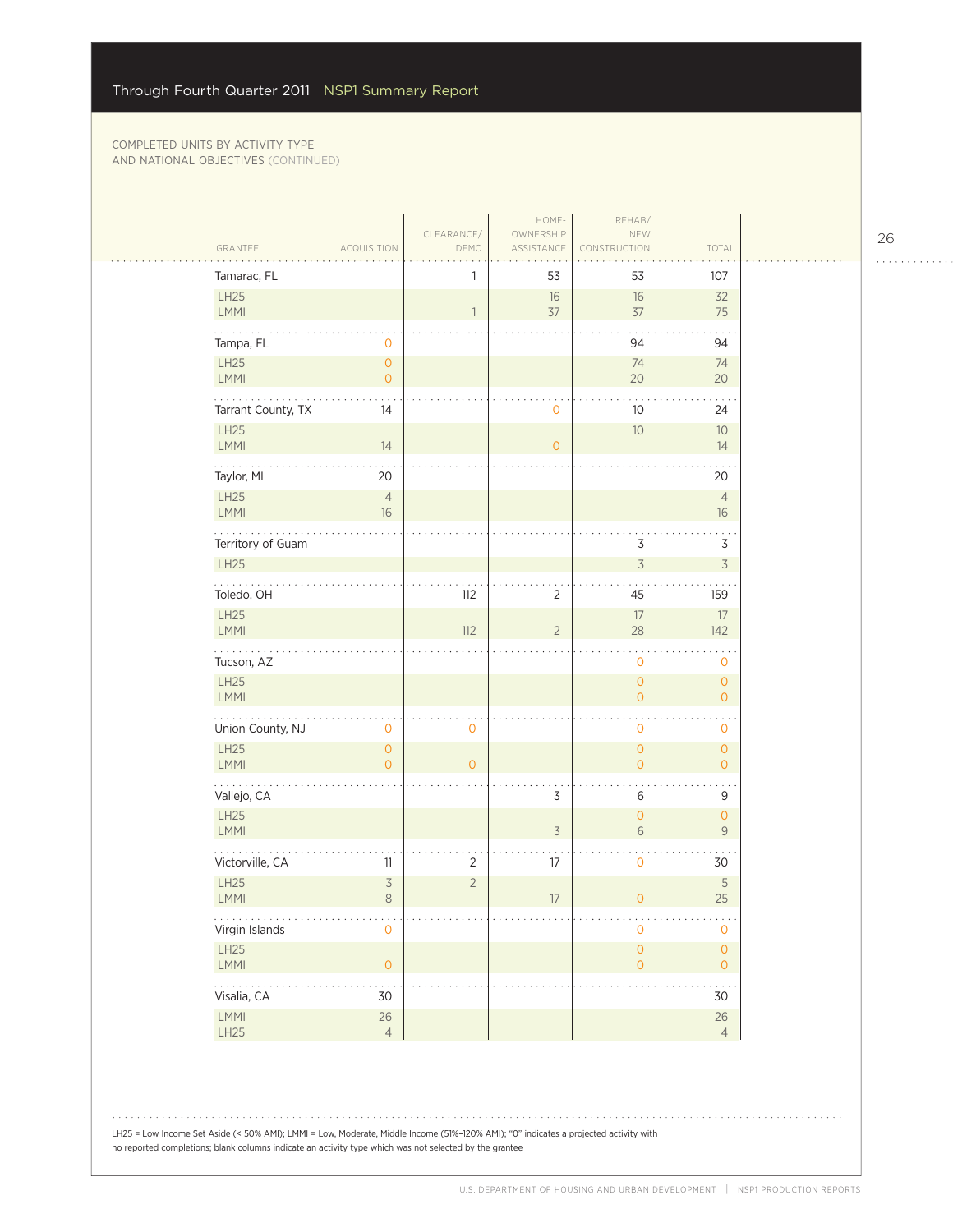$\mathcal{L}_{\mathcal{A}}$ 

| GRANTEE<br><b>ACQUISITION</b>                              | CLEARANCE/<br>DEMO  | HOME-<br>OWNERSHIP<br>ASSISTANCE | REHAB/<br>NEW<br>CONSTRUCTION              | TOTAL                                      |
|------------------------------------------------------------|---------------------|----------------------------------|--------------------------------------------|--------------------------------------------|
| Tamarac, FL                                                | 1                   | 53                               | 53                                         | 107                                        |
| LH25<br>LMMI                                               | $\overline{1}$      | $16$<br>37                       | $16\,$<br>37                               | 32<br>75                                   |
| Tampa, FL<br>$\circ$                                       |                     |                                  | 94                                         | 94                                         |
| LH25<br>$\circ$<br>LMMI<br>$\overline{O}$                  |                     |                                  | 74<br>20                                   | 74<br>20                                   |
| المتحدث والمنافذة<br>Tarrant County, TX<br>14              |                     | $\circ$                          | 10                                         | 24                                         |
| <b>LH25</b><br>LMMI<br>14                                  |                     | $\overline{O}$                   | 10                                         | 10 <sup>°</sup><br>14                      |
| Taylor, MI<br>20                                           |                     |                                  |                                            | 20                                         |
| LH25<br>$\overline{4}$<br>LMMI<br>16                       |                     |                                  |                                            | $\overline{4}$<br>16                       |
| Territory of Guam                                          |                     |                                  | 3                                          | $\mathfrak Z$                              |
| <b>LH25</b>                                                |                     |                                  | $\overline{3}$                             | $\overline{3}$                             |
| .<br>Toledo, OH                                            | 112                 | $\overline{2}$                   | 45                                         | 159                                        |
| LH25<br>LMMI                                               | 112                 | $\overline{2}$                   | $17\,$<br>28                               | 17<br>142                                  |
| Tucson, AZ                                                 |                     |                                  | $\mathbf 0$                                | $\mathbf 0$                                |
| <b>LH25</b><br>LMMI                                        |                     |                                  | $\mathsf{O}\xspace$<br>$\mathsf{O}\xspace$ | $\mathsf{O}\xspace$<br>$\mathbf{O}$        |
| Union County, NJ<br>$\mathbf 0$                            | $\mathsf{O}\xspace$ |                                  | $\mathbf 0$                                | 0                                          |
| LH25<br>$\mathsf{O}\xspace$<br>LMMI<br>$\Omega$            | $\mathbf{O}$        |                                  | $\mathsf{O}\xspace$<br>$\overline{O}$      | $\mathbf{O}$<br>$\mathbf{O}$               |
| Vallejo, CA                                                |                     | $\mathsf 3$                      | $\,$ 6 $\,$                                | 9                                          |
| <b>LH25</b><br>LMMI                                        |                     | $\overline{\mathcal{S}}$         | $\mathsf{O}\xspace$<br>6                   | $\mathsf{O}\xspace$<br>9                   |
| 202020<br>Victorville, CA<br>11                            | 2                   | 17                               | $\mathbf 0$                                | 30                                         |
| <b>LH25</b><br>$\overline{\mathcal{S}}$<br>$\,8\,$<br>LMMI | $\overline{2}$      | 17                               | $\mathbf{O}$                               | $\mathsf S$<br>25                          |
| .<br>Virgin Islands<br>$\mathbf 0$                         |                     |                                  | $\mathbf 0$                                | 0                                          |
| LH25<br>$\overline{0}$<br>LMMI                             |                     |                                  | $\mathsf{O}\xspace$<br>$\mathsf{O}\xspace$ | $\mathsf{O}\xspace$<br>$\mathsf{O}\xspace$ |
| .<br>Visalia, CA<br>30                                     |                     |                                  |                                            | 30                                         |
| LMMI<br>$26\,$<br>LH25<br>$\overline{4}$                   |                     |                                  |                                            | $26\,$<br>$\overline{4}$                   |

LH25 = Low Income Set Aside (< 50% AMI); LMMI = Low, Moderate, Middle Income (51%–120% AMI); "0" indicates a projected activity with no reported completions; blank columns indicate an activity type which was not selected by the grantee

26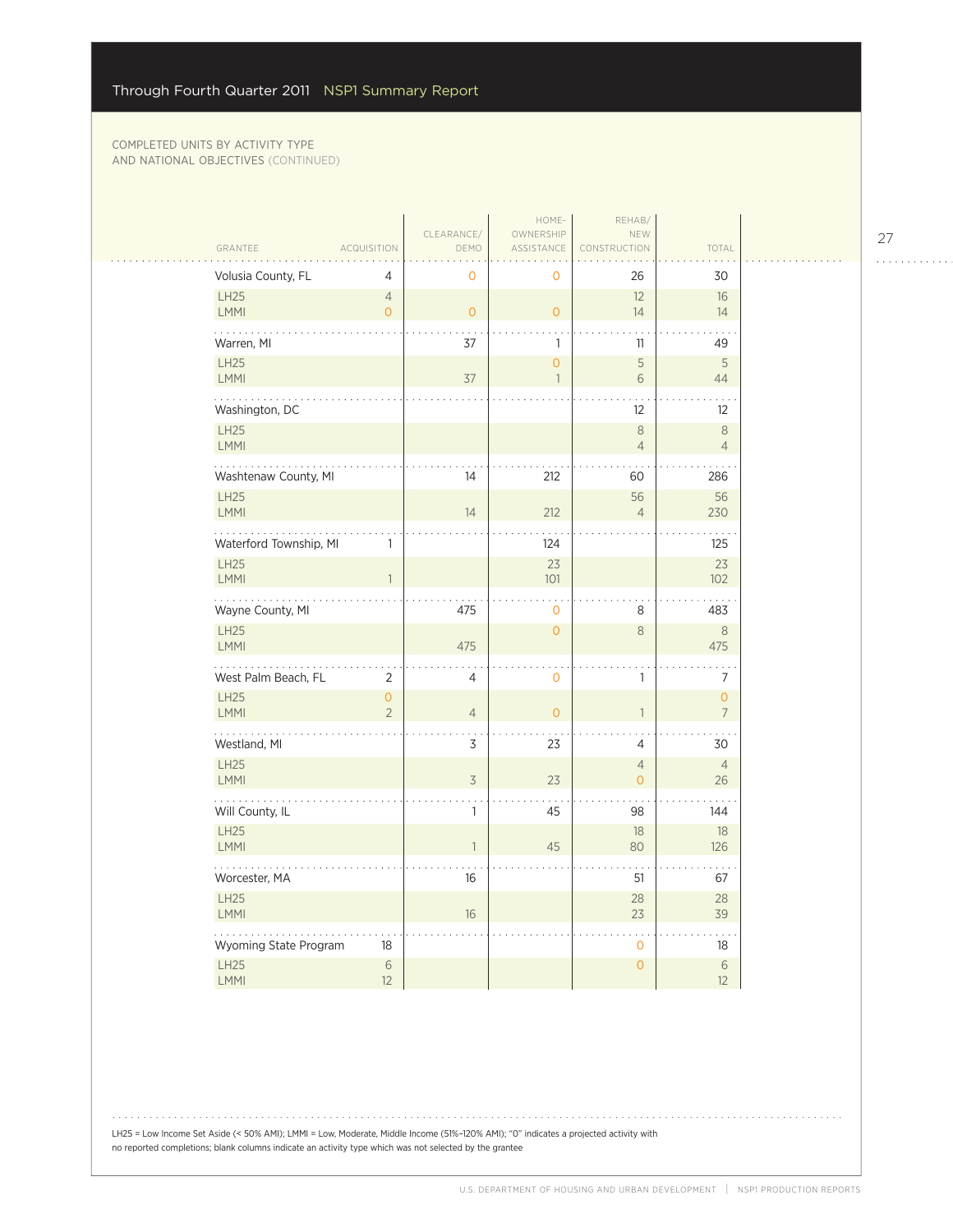المتحدث

| GRANTEE                    | <b>ACQUISITION</b>               | CLEARANCE/<br>DEMO | HOME-<br>OWNERSHIP<br><b>ASSISTANCE</b> | REHAB/<br>NEW<br>CONSTRUCTION    | TOTAL                            |  |
|----------------------------|----------------------------------|--------------------|-----------------------------------------|----------------------------------|----------------------------------|--|
| Volusia County, FL         | 4                                | $\mathbf 0$        | 0                                       | 26                               | 30                               |  |
| <b>LH25</b>                | $\overline{4}$                   |                    |                                         | 12                               | 16                               |  |
| LMMI                       | $\overline{0}$                   | $\overline{0}$     | $\overline{O}$                          | 14                               | 14                               |  |
| .<br>Warren, MI            |                                  | 37                 | $\mathbf{1}$                            | 11                               | 49                               |  |
| <b>LH25</b>                |                                  | 37                 | $\overline{O}$<br>$\mathbf{1}$          | $\mathsf S$<br>6                 | 5                                |  |
| <b>LMMI</b>                |                                  |                    |                                         |                                  | 44                               |  |
| Washington, DC             |                                  |                    |                                         | 12                               | $12 \overline{ }$                |  |
| <b>LH25</b><br>LMMI        |                                  |                    |                                         | $\,8\,$<br>$\overline{4}$        | $\,8\,$<br>$\overline{4}$        |  |
| Washtenaw County, MI       |                                  | 14                 | 212                                     | 60                               | 286                              |  |
| <b>LH25</b><br><b>LMMI</b> |                                  | 14                 | 212                                     | 56<br>$\overline{4}$             | 56<br>230                        |  |
| Waterford Township, MI     | 1                                |                    | 124                                     |                                  | 125                              |  |
| <b>LH25</b>                |                                  |                    | 23                                      |                                  | 23                               |  |
| <b>LMMI</b>                | $\mathbf{1}$                     |                    | 101                                     |                                  | 102                              |  |
| Wayne County, MI           |                                  | 475                | $\mathbf 0$                             | 8                                | 483                              |  |
| LH25<br><b>LMMI</b>        |                                  | 475                | $\mathsf O$                             | $\,8\,$                          | $\,8\,$<br>475                   |  |
| .<br>West Palm Beach, FL   | $\overline{2}$                   | 4                  | ò,<br>$\mathbf 0$                       | 1                                | 7                                |  |
| <b>LH25</b><br>LMMI        | $\overline{O}$<br>$\overline{2}$ | $\overline{4}$     | $\overline{O}$                          | $\mathbf{1}$                     | $\overline{O}$<br>$\overline{7}$ |  |
| Westland, MI               |                                  | 3                  | 23                                      | 4                                | 30                               |  |
| <b>LH25</b><br>LMMI        |                                  | $\overline{3}$     | 23                                      | $\overline{4}$<br>$\overline{O}$ | $\overline{4}$<br>26             |  |
| Will County, IL            |                                  | 1                  | 45                                      | 98                               | 144                              |  |
| LH25<br>LMMI               |                                  | 1                  | 45                                      | 18<br>80                         | 18<br>126                        |  |
| Worcester, MA              |                                  | 16                 |                                         | 51                               | 67                               |  |
| LH25<br><b>LMMI</b>        |                                  | 16                 |                                         | 28<br>23                         | 28<br>39                         |  |
| Wyoming State Program      | 18                               |                    |                                         | $\mathbf{0}$                     | 18                               |  |
| LH25<br><b>LMMI</b>        | 6<br>12                          |                    |                                         | $\overline{O}$                   | 6<br>12                          |  |

27 . . . . . . . . . . . .

LH25 = Low Income Set Aside (< 50% AMI); LMMI = Low, Moderate, Middle Income (51%–120% AMI); "0" indicates a projected activity with no reported completions; blank columns indicate an activity type which was not selected by the grantee